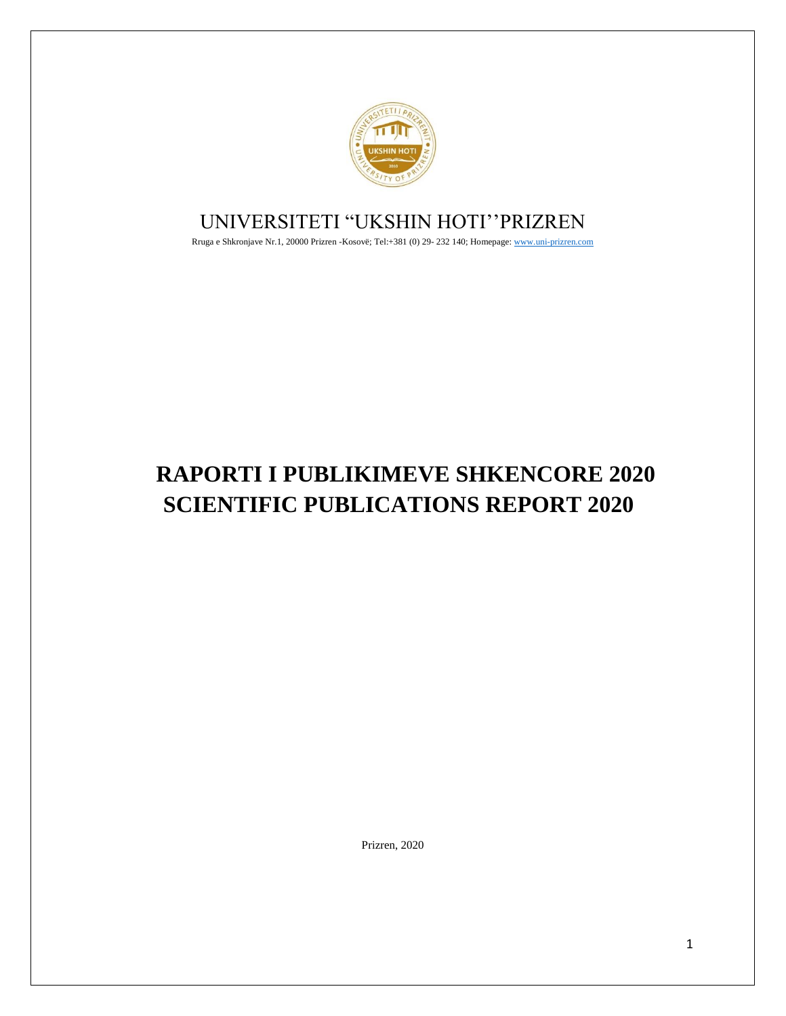

# UNIVERSITETI "UKSHIN HOTI''PRIZREN

Rruga e Shkronjave Nr.1, 20000 Prizren -Kosovë; Tel:+381 (0) 29- 232 140; Homepage[: www.uni-prizren.com](http://www.uni-prizren.com/)

# **RAPORTI I PUBLIKIMEVE SHKENCORE 2020 SCIENTIFIC PUBLICATIONS REPORT 2020**

Prizren, 2020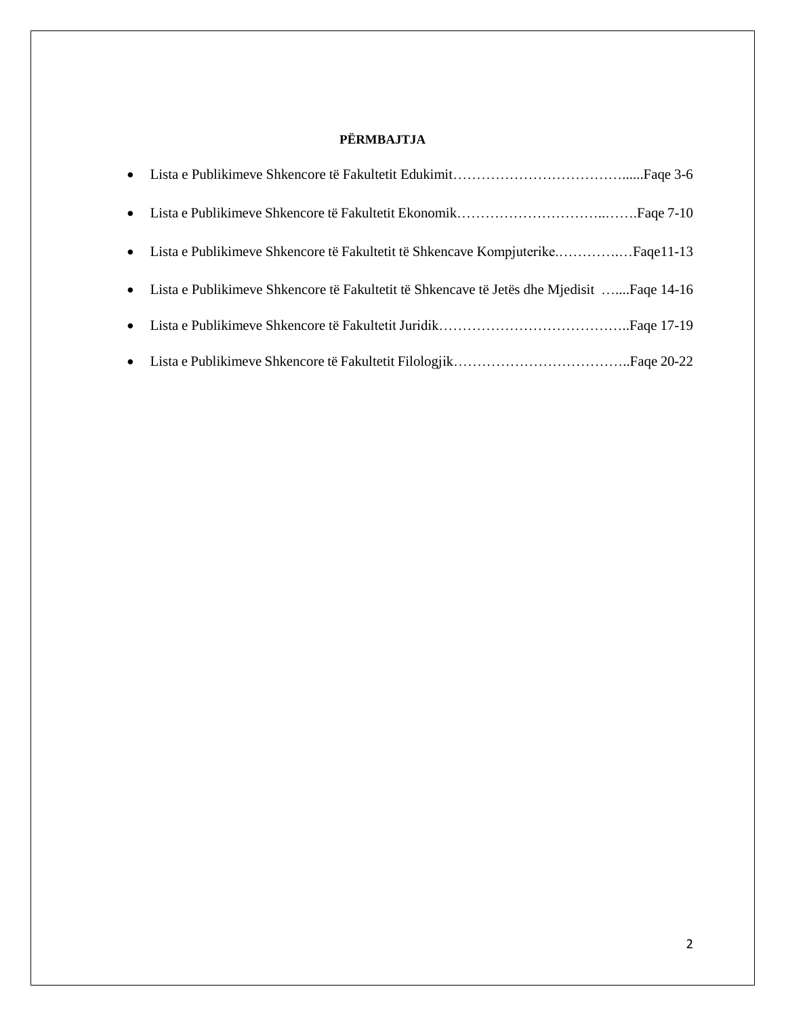## **PËRMBAJTJA**

| • Lista e Publikimeve Shkencore të Fakultetit të Shkencave Kompjuterike Faqe11-13           |
|---------------------------------------------------------------------------------------------|
| • Lista e Publikimeve Shkencore të Fakultetit të Shkencave të Jetës dhe Mjedisit Faqe 14-16 |
|                                                                                             |
|                                                                                             |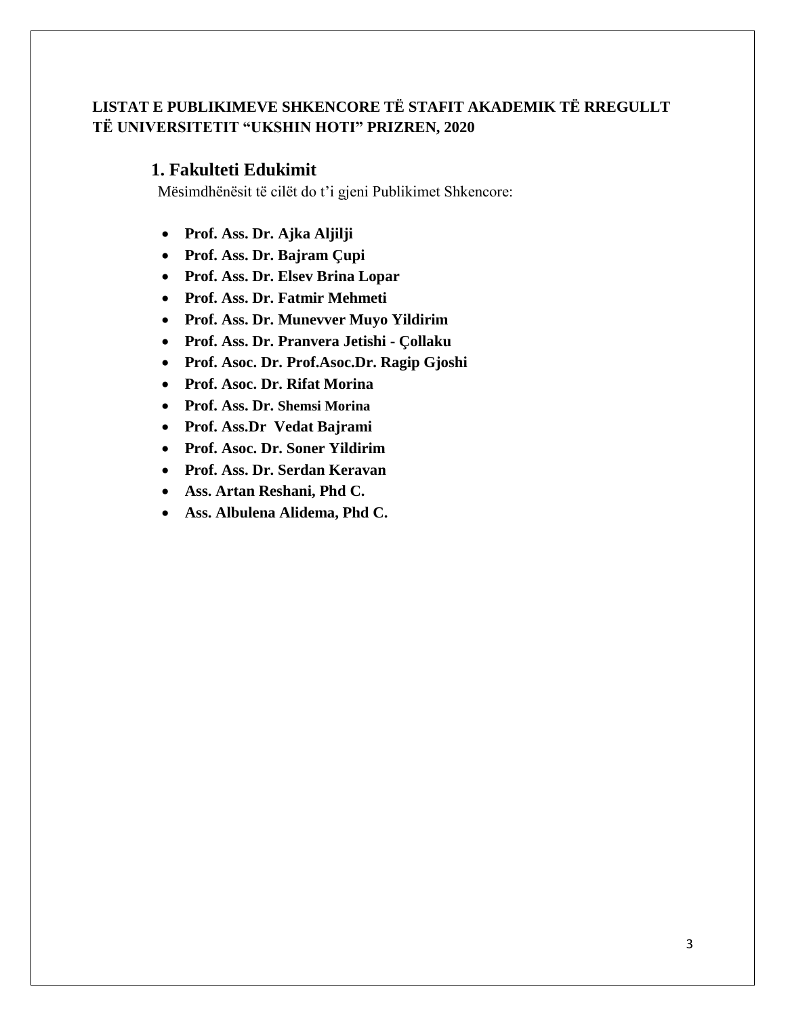## **LISTAT E PUBLIKIMEVE SHKENCORE TË STAFIT AKADEMIK TË RREGULLT TË UNIVERSITETIT "UKSHIN HOTI" PRIZREN, 2020**

### **1. Fakulteti Edukimit**

- **Prof. Ass. Dr. Ajka Aljilji**
- **Prof. Ass. Dr. Bajram Çupi**
- **Prof. Ass. Dr. Elsev Brina Lopar**
- **Prof. Ass. Dr. Fatmir Mehmeti**
- **Prof. Ass. Dr. Munevver Muyo Yildirim**
- **Prof. Ass. Dr. Pranvera Jetishi - Çollaku**
- **Prof. Asoc. Dr. Prof.Asoc.Dr. Ragip Gjoshi**
- **Prof. Asoc. Dr. Rifat Morina**
- **Prof. Ass. Dr. Shemsi Morina**
- **Prof. Ass.Dr Vedat Bajrami**
- **Prof. Asoc. Dr. Soner Yildirim**
- **Prof. Ass. Dr. Serdan Keravan**
- **Ass. Artan Reshani, Phd C.**
- **Ass. Albulena Alidema, Phd C.**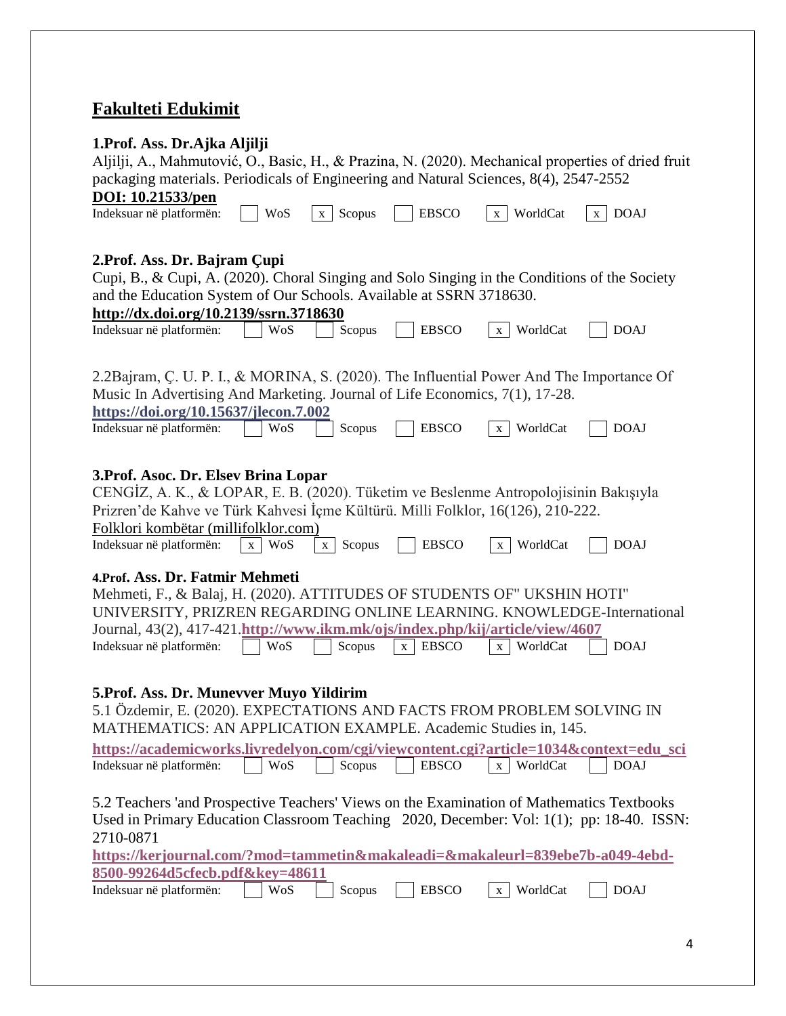# **Fakulteti Edukimit**

| 1. Prof. Ass. Dr. Ajka Aljilji                                                                     |            |                        |                   |                          |                             |
|----------------------------------------------------------------------------------------------------|------------|------------------------|-------------------|--------------------------|-----------------------------|
| Aljilji, A., Mahmutović, O., Basic, H., & Prazina, N. (2020). Mechanical properties of dried fruit |            |                        |                   |                          |                             |
| packaging materials. Periodicals of Engineering and Natural Sciences, 8(4), 2547-2552              |            |                        |                   |                          |                             |
| DOI: 10.21533/pen                                                                                  |            |                        |                   |                          |                             |
| Indeksuar në platformën:                                                                           | <b>WoS</b> | Scopus<br>$\mathbf{X}$ | <b>EBSCO</b>      | WorldCat<br>X            | <b>DOAJ</b><br>$\mathbf{X}$ |
|                                                                                                    |            |                        |                   |                          |                             |
|                                                                                                    |            |                        |                   |                          |                             |
| 2. Prof. Ass. Dr. Bajram Çupi                                                                      |            |                        |                   |                          |                             |
| Cupi, B., & Cupi, A. (2020). Choral Singing and Solo Singing in the Conditions of the Society      |            |                        |                   |                          |                             |
| and the Education System of Our Schools. Available at SSRN 3718630.                                |            |                        |                   |                          |                             |
| http://dx.doi.org/10.2139/ssrn.3718630                                                             |            |                        |                   |                          |                             |
| Indeksuar në platformën:                                                                           | WoS        | Scopus                 | <b>EBSCO</b>      | WorldCat<br>X            | <b>DOAJ</b>                 |
|                                                                                                    |            |                        |                   |                          |                             |
|                                                                                                    |            |                        |                   |                          |                             |
| 2.2Bajram, C. U. P. I., & MORINA, S. (2020). The Influential Power And The Importance Of           |            |                        |                   |                          |                             |
| Music In Advertising And Marketing. Journal of Life Economics, 7(1), 17-28.                        |            |                        |                   |                          |                             |
| https://doi.org/10.15637/jlecon.7.002                                                              |            |                        |                   |                          |                             |
| Indeksuar në platformën:                                                                           | WoS        | Scopus                 | <b>EBSCO</b>      | WorldCat<br>$\mathbf{X}$ | <b>DOAJ</b>                 |
|                                                                                                    |            |                        |                   |                          |                             |
|                                                                                                    |            |                        |                   |                          |                             |
| 3. Prof. Asoc. Dr. Elsev Brina Lopar                                                               |            |                        |                   |                          |                             |
| CENGIZ, A. K., & LOPAR, E. B. (2020). Tüketim ve Beslenme Antropolojisinin Bakışıyla               |            |                        |                   |                          |                             |
| Prizren'de Kahve ve Türk Kahvesi İçme Kültürü. Milli Folklor, 16(126), 210-222.                    |            |                        |                   |                          |                             |
| Folklori kombëtar (millifolklor.com)                                                               |            |                        |                   |                          |                             |
| Indeksuar në platformën:                                                                           | WoS<br>X   | Scopus<br>$\mathbf{X}$ | <b>EBSCO</b>      | WorldCat<br>X            | <b>DOAJ</b>                 |
|                                                                                                    |            |                        |                   |                          |                             |
| 4. Prof. Ass. Dr. Fatmir Mehmeti                                                                   |            |                        |                   |                          |                             |
| Mehmeti, F., & Balaj, H. (2020). ATTITUDES OF STUDENTS OF" UKSHIN HOTI"                            |            |                        |                   |                          |                             |
| UNIVERSITY, PRIZREN REGARDING ONLINE LEARNING. KNOWLEDGE-International                             |            |                        |                   |                          |                             |
| Journal, 43(2), 417-421.http://www.ikm.mk/ojs/index.php/kij/article/view/4607                      |            |                        |                   |                          |                             |
| Indeksuar në platformën:                                                                           | WoS        | Scopus                 | <b>EBSCO</b><br>X | WorldCat<br>X            | <b>DOAJ</b>                 |
|                                                                                                    |            |                        |                   |                          |                             |
|                                                                                                    |            |                        |                   |                          |                             |
| 5. Prof. Ass. Dr. Munevver Muyo Yildirim                                                           |            |                        |                   |                          |                             |
| 5.1 Özdemir, E. (2020). EXPECTATIONS AND FACTS FROM PROBLEM SOLVING IN                             |            |                        |                   |                          |                             |
| MATHEMATICS: AN APPLICATION EXAMPLE. Academic Studies in, 145.                                     |            |                        |                   |                          |                             |
| https://academicworks.livredelyon.com/cgi/viewcontent.cgi?article=1034&context=edu_sci             |            |                        |                   |                          |                             |
| Indeksuar në platformën:                                                                           | WoS        | Scopus                 | <b>EBSCO</b>      | WorldCat<br>$\mathbf{x}$ | <b>DOAJ</b>                 |
|                                                                                                    |            |                        |                   |                          |                             |
| 5.2 Teachers 'and Prospective Teachers' Views on the Examination of Mathematics Textbooks          |            |                        |                   |                          |                             |
| Used in Primary Education Classroom Teaching 2020, December: Vol: 1(1); pp: 18-40. ISSN:           |            |                        |                   |                          |                             |
| 2710-0871                                                                                          |            |                        |                   |                          |                             |
| https://kerjournal.com/?mod=tammetin&makaleadi=&makaleurl=839ebe7b-a049-4ebd-                      |            |                        |                   |                          |                             |
| 8500-99264d5cfecb.pdf&key=48611                                                                    |            |                        |                   |                          |                             |
| Indeksuar në platformën:                                                                           | <b>WoS</b> | Scopus                 | <b>EBSCO</b>      | WorldCat<br>X            | <b>DOAJ</b>                 |
|                                                                                                    |            |                        |                   |                          |                             |
|                                                                                                    |            |                        |                   |                          |                             |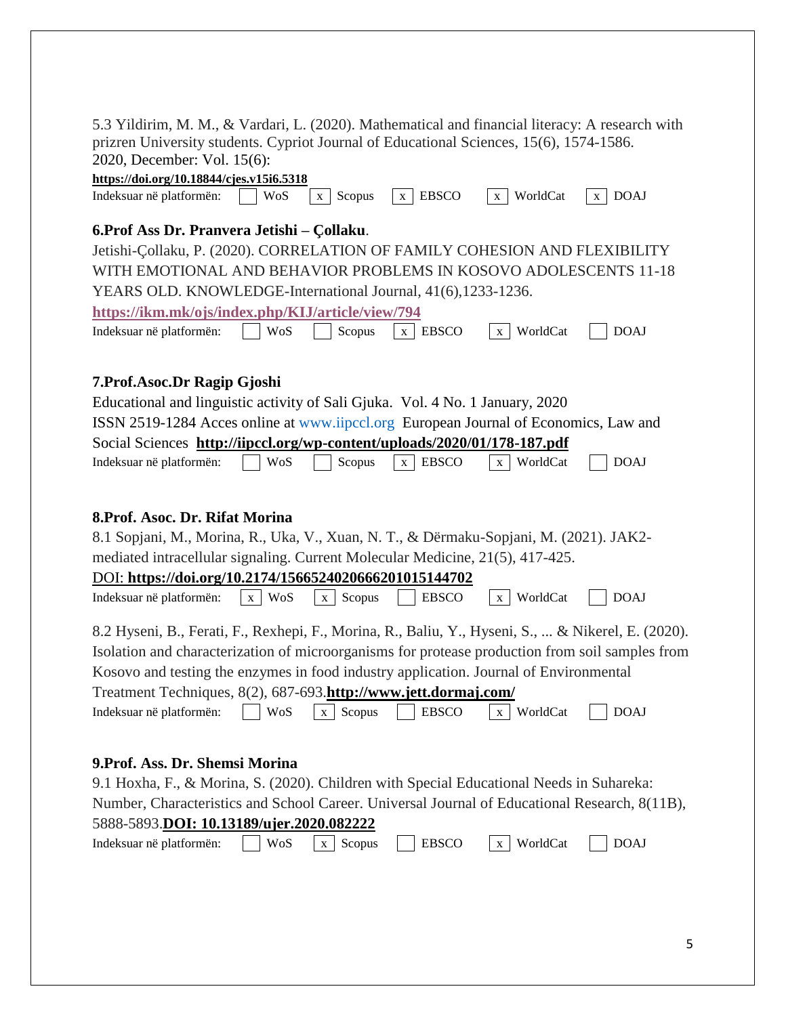| 5.3 Yildirim, M. M., & Vardari, L. (2020). Mathematical and financial literacy: A research with<br>prizren University students. Cypriot Journal of Educational Sciences, 15(6), 1574-1586.<br>2020, December: Vol. 15(6):<br>https://doi.org/10.18844/cjes.v15i6.5318                                                                                                                                                                                                                            |
|--------------------------------------------------------------------------------------------------------------------------------------------------------------------------------------------------------------------------------------------------------------------------------------------------------------------------------------------------------------------------------------------------------------------------------------------------------------------------------------------------|
| <b>EBSCO</b><br>WorldCat<br><b>DOAJ</b><br>Indeksuar në platformën:<br>Scopus<br>WoS<br>$\mathbf{X}^-$<br>X<br>$\mathbf{X}$<br>$\mathbf{x}$                                                                                                                                                                                                                                                                                                                                                      |
| 6. Prof Ass Dr. Pranvera Jetishi - Çollaku.<br>Jetishi-Çollaku, P. (2020). CORRELATION OF FAMILY COHESION AND FLEXIBILITY<br>WITH EMOTIONAL AND BEHAVIOR PROBLEMS IN KOSOVO ADOLESCENTS 11-18<br>YEARS OLD. KNOWLEDGE-International Journal, 41(6), 1233-1236.<br>https://ikm.mk/ojs/index.php/KIJ/article/view/794<br>WorldCat<br>Indeksuar në platformën:<br><b>WoS</b><br>Scopus<br><b>EBSCO</b><br><b>DOAJ</b><br>$\mathbf{x}$<br>$\mathbf{X}$                                               |
| 7. Prof. Asoc. Dr Ragip Gjoshi<br>Educational and linguistic activity of Sali Gjuka. Vol. 4 No. 1 January, 2020<br>ISSN 2519-1284 Acces online at www.iipccl.org European Journal of Economics, Law and<br>Social Sciences http://iipccl.org/wp-content/uploads/2020/01/178-187.pdf<br>Indeksuar në platformën:<br><b>EBSCO</b><br><b>DOAJ</b><br>WoS<br>WorldCat<br>Scopus<br>X<br>X                                                                                                            |
| 8. Prof. Asoc. Dr. Rifat Morina<br>8.1 Sopjani, M., Morina, R., Uka, V., Xuan, N. T., & Dërmaku-Sopjani, M. (2021). JAK2-<br>mediated intracellular signaling. Current Molecular Medicine, 21(5), 417-425.<br>DOI: https://doi.org/10.2174/1566524020666201015144702<br>Indeksuar në platformën:<br>WorldCat<br><b>DOAJ</b><br>x WoS<br>Scopus<br><b>EBSCO</b><br>X<br>X                                                                                                                         |
| 8.2 Hyseni, B., Ferati, F., Rexhepi, F., Morina, R., Baliu, Y., Hyseni, S.,  & Nikerel, E. (2020).<br>Isolation and characterization of microorganisms for protease production from soil samples from<br>Kosovo and testing the enzymes in food industry application. Journal of Environmental<br>Treatment Techniques, 8(2), 687-693.http://www.jett.dormaj.com/<br>Indeksuar në platformën:<br><b>WoS</b><br>Scopus<br><b>EBSCO</b><br>WorldCat<br><b>DOAJ</b><br>$\mathbf{X}$<br>$\mathbf{X}$ |
| 9. Prof. Ass. Dr. Shemsi Morina<br>9.1 Hoxha, F., & Morina, S. (2020). Children with Special Educational Needs in Suhareka:<br>Number, Characteristics and School Career. Universal Journal of Educational Research, 8(11B),<br>5888-5893.DOI: 10.13189/ujer.2020.082222<br>WorldCat<br>Indeksuar në platformën:<br>WoS<br><b>EBSCO</b><br><b>DOAJ</b><br>Scopus<br>X<br>$\mathbf{X}$                                                                                                            |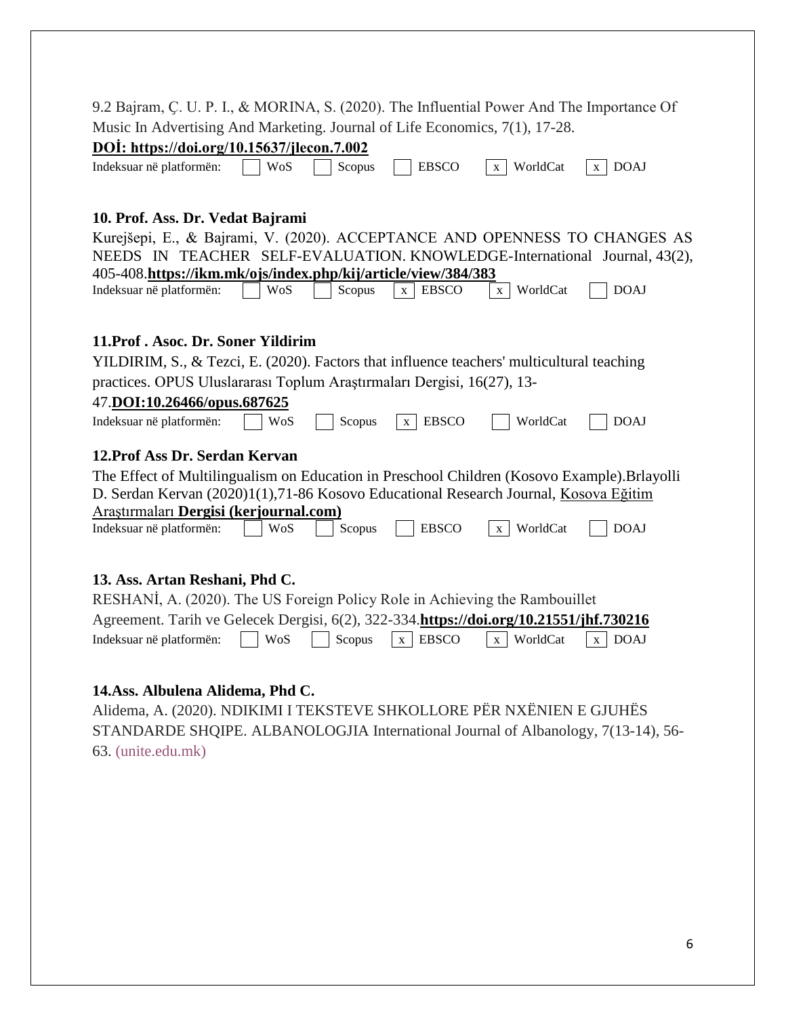| 9.2 Bajram, C. U. P. I., & MORINA, S. (2020). The Influential Power And The Importance Of<br>Music In Advertising And Marketing. Journal of Life Economics, 7(1), 17-28. |  |  |  |  |
|--------------------------------------------------------------------------------------------------------------------------------------------------------------------------|--|--|--|--|
| DOI: https://doi.org/10.15637/jlecon.7.002                                                                                                                               |  |  |  |  |
| <b>DOAJ</b><br>Indeksuar në platformën:<br><b>WoS</b><br><b>EBSCO</b><br>WorldCat<br>Scopus<br>X<br>X                                                                    |  |  |  |  |
| 10. Prof. Ass. Dr. Vedat Bajrami                                                                                                                                         |  |  |  |  |
| Kurejšepi, E., & Bajrami, V. (2020). ACCEPTANCE AND OPENNESS TO CHANGES AS                                                                                               |  |  |  |  |
| NEEDS IN TEACHER SELF-EVALUATION. KNOWLEDGE-International Journal, 43(2),                                                                                                |  |  |  |  |
| 405-408.https://ikm.mk/ojs/index.php/kij/article/view/384/383                                                                                                            |  |  |  |  |
| Indeksuar në platformën:<br><b>EBSCO</b><br>WorldCat<br><b>DOAJ</b><br>Scopus<br>WoS<br>$\mathbf{X}$<br>$\mathbf X$                                                      |  |  |  |  |
|                                                                                                                                                                          |  |  |  |  |
| 11. Prof. Asoc. Dr. Soner Yildirim                                                                                                                                       |  |  |  |  |
| YILDIRIM, S., & Tezci, E. (2020). Factors that influence teachers' multicultural teaching                                                                                |  |  |  |  |
| practices. OPUS Uluslararası Toplum Araştırmaları Dergisi, 16(27), 13-                                                                                                   |  |  |  |  |
| 47.DOI:10.26466/opus.687625                                                                                                                                              |  |  |  |  |
| <b>EBSCO</b><br>Indeksuar në platformën:<br>WoS<br>WorldCat<br><b>DOAJ</b><br>Scopus<br>$\mathbf{X}$                                                                     |  |  |  |  |
| 12. Prof Ass Dr. Serdan Kervan                                                                                                                                           |  |  |  |  |
| The Effect of Multilingualism on Education in Preschool Children (Kosovo Example). Brlayolli                                                                             |  |  |  |  |
| D. Serdan Kervan (2020)1(1),71-86 Kosovo Educational Research Journal, Kosova Eğitim                                                                                     |  |  |  |  |
| Araştırmaları Dergisi (kerjournal.com)                                                                                                                                   |  |  |  |  |
| Indeksuar në platformën:<br>Scopus<br><b>EBSCO</b><br>WorldCat<br><b>DOAJ</b><br>WoS<br>$\mathbf{X}$                                                                     |  |  |  |  |
|                                                                                                                                                                          |  |  |  |  |
| 13. Ass. Artan Reshani, Phd C.                                                                                                                                           |  |  |  |  |
| RESHANİ, A. (2020). The US Foreign Policy Role in Achieving the Rambouillet                                                                                              |  |  |  |  |
| Agreement. Tarih ve Gelecek Dergisi, 6(2), 322-334.https://doi.org/10.21551/jhf.730216                                                                                   |  |  |  |  |
| Indeksuar në platformën:<br><b>WoS</b><br>Scopus<br><b>EBSCO</b><br>WorldCat<br><b>DOAJ</b><br>$\mathbf{x}$<br>$\mathbf{X}$<br>$\mathbf{x}$                              |  |  |  |  |
|                                                                                                                                                                          |  |  |  |  |
|                                                                                                                                                                          |  |  |  |  |

### **14.Ass. Albulena Alidema, Phd C.**

Alidema, A. (2020). NDIKIMI I TEKSTEVE SHKOLLORE PËR NXËNIEN E GJUHËS STANDARDE SHQIPE. ALBANOLOGJIA International Journal of Albanology, 7(13-14), 56- 63. [\(unite.edu.mk\)](https://eprints.unite.edu.mk/527/)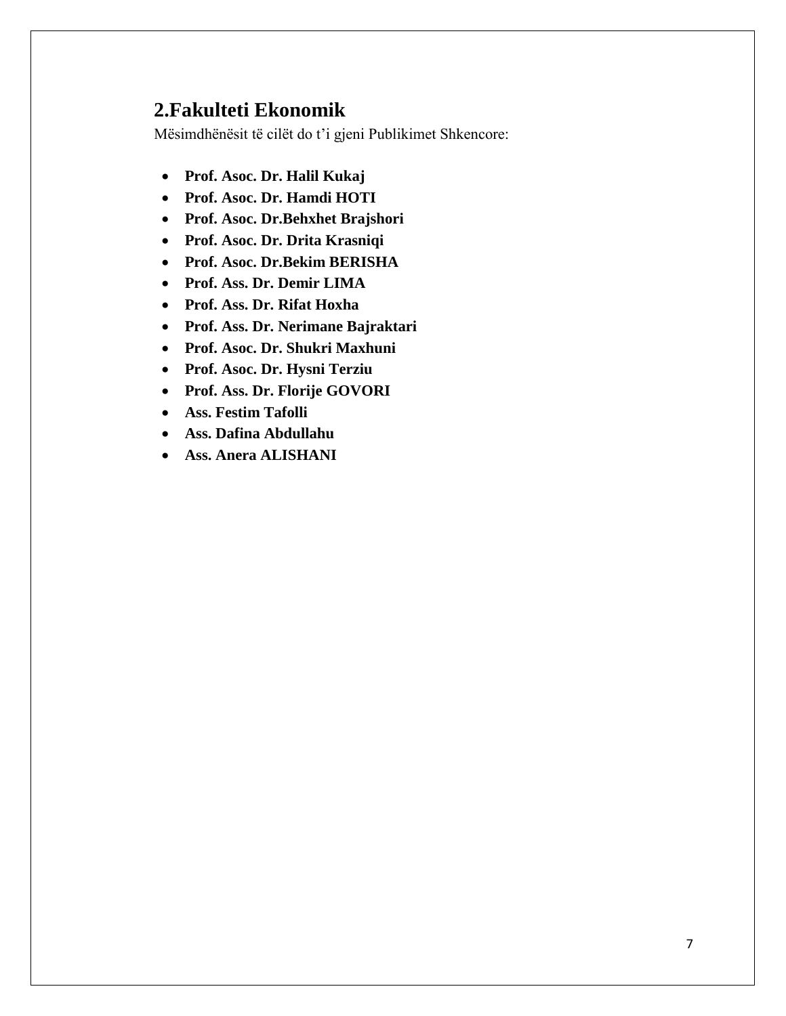# **2.Fakulteti Ekonomik**

- **Prof. Asoc. Dr. Halil Kukaj**
- **Prof. Asoc. Dr. Hamdi HOTI**
- **Prof. Asoc. Dr.Behxhet Brajshori**
- **Prof. Asoc. Dr. Drita Krasniqi**
- **Prof. Asoc. Dr.Bekim BERISHA**
- **Prof. Ass. Dr. Demir LIMA**
- **Prof. Ass. Dr. Rifat Hoxha**
- **Prof. Ass. Dr. Nerimane Bajraktari**
- **Prof. Asoc. Dr. Shukri Maxhuni**
- **Prof. Asoc. Dr. Hysni Terziu**
- **Prof. Ass. Dr. Florije GOVORI**
- **Ass. Festim Tafolli**
- **Ass. Dafina Abdullahu**
- **Ass. Anera ALISHANI**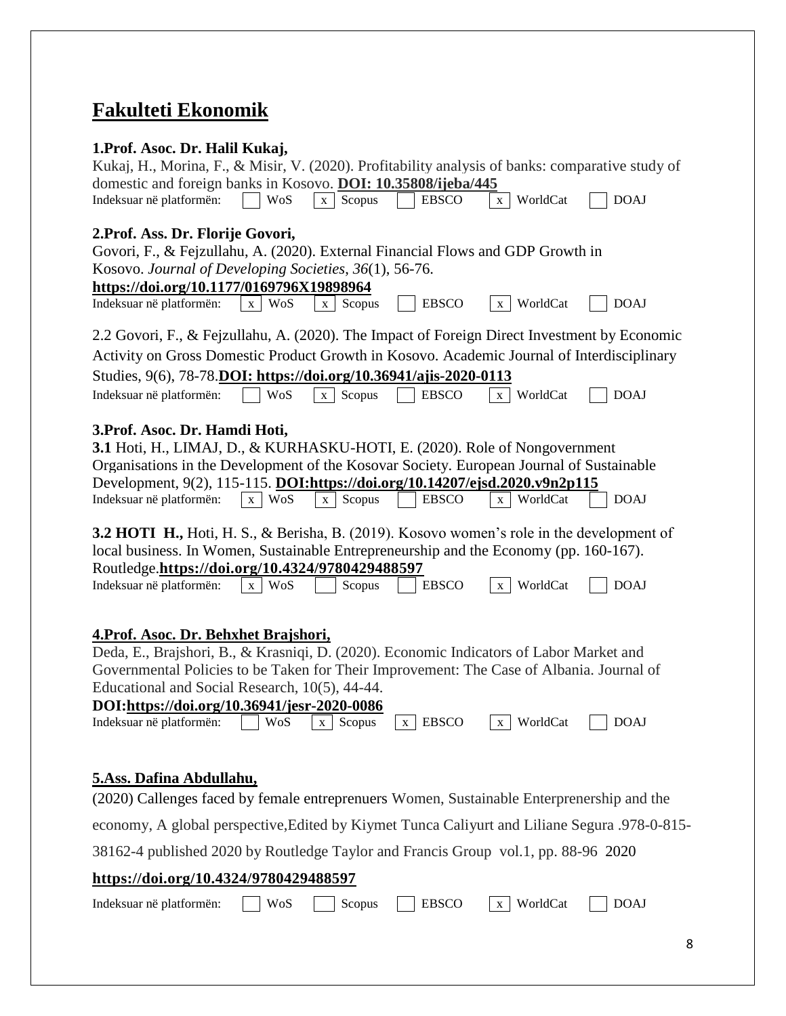# **Fakulteti Ekonomik**

| 1. Prof. Asoc. Dr. Halil Kukaj,                                                                                                                                                                                                                                                                                                                                                                                                         |
|-----------------------------------------------------------------------------------------------------------------------------------------------------------------------------------------------------------------------------------------------------------------------------------------------------------------------------------------------------------------------------------------------------------------------------------------|
| Kukaj, H., Morina, F., & Misir, V. (2020). Profitability analysis of banks: comparative study of                                                                                                                                                                                                                                                                                                                                        |
| domestic and foreign banks in Kosovo. DOI: 10.35808/ijeba/445                                                                                                                                                                                                                                                                                                                                                                           |
| <b>DOAJ</b><br>WorldCat<br>Indeksuar në platformën:<br><b>WoS</b><br>Scopus<br><b>EBSCO</b><br>$\mathbf{X}$<br>$\mathbf{X}$                                                                                                                                                                                                                                                                                                             |
| 2. Prof. Ass. Dr. Florije Govori,<br>Govori, F., & Fejzullahu, A. (2020). External Financial Flows and GDP Growth in                                                                                                                                                                                                                                                                                                                    |
| Kosovo. Journal of Developing Societies, 36(1), 56-76.                                                                                                                                                                                                                                                                                                                                                                                  |
| https://doi.org/10.1177/0169796X19898964                                                                                                                                                                                                                                                                                                                                                                                                |
| Indeksuar në platformën:<br>x WoS<br><b>EBSCO</b><br>WorldCat<br><b>DOAJ</b><br>Scopus<br>$\mathbf{X}$<br>X                                                                                                                                                                                                                                                                                                                             |
| 2.2 Govori, F., & Fejzullahu, A. (2020). The Impact of Foreign Direct Investment by Economic                                                                                                                                                                                                                                                                                                                                            |
| Activity on Gross Domestic Product Growth in Kosovo. Academic Journal of Interdisciplinary                                                                                                                                                                                                                                                                                                                                              |
| Studies, 9(6), 78-78. DOI: https://doi.org/10.36941/ajis-2020-0113                                                                                                                                                                                                                                                                                                                                                                      |
| Scopus<br>Indeksuar në platformën:<br>WoS<br><b>EBSCO</b><br>WorldCat<br><b>DOAJ</b><br>$\mathbf{X}$<br>$\mathbf{X}$                                                                                                                                                                                                                                                                                                                    |
| 3. Prof. Asoc. Dr. Hamdi Hoti,                                                                                                                                                                                                                                                                                                                                                                                                          |
| 3.1 Hoti, H., LIMAJ, D., & KURHASKU-HOTI, E. (2020). Role of Nongovernment                                                                                                                                                                                                                                                                                                                                                              |
| Organisations in the Development of the Kosovar Society. European Journal of Sustainable                                                                                                                                                                                                                                                                                                                                                |
| Development, 9(2), 115-115. DOI:https://doi.org/10.14207/ejsd.2020.v9n2p115                                                                                                                                                                                                                                                                                                                                                             |
| x WorldCat<br><b>DOAJ</b><br>Indeksuar në platformën:<br>x WoS<br>Scopus<br><b>EBSCO</b><br>$\mathbf X$                                                                                                                                                                                                                                                                                                                                 |
| <b>3.2 HOTI H., Hoti, H. S., &amp; Berisha, B. (2019). Kosovo women's role in the development of</b><br>local business. In Women, Sustainable Entrepreneurship and the Economy (pp. 160-167).<br>Routledge.https://doi.org/10.4324/9780429488597                                                                                                                                                                                        |
| <b>EBSCO</b><br>WorldCat<br><b>DOAJ</b><br>Indeksuar në platformën:<br>x WoS<br>Scopus<br>$\mathbf{X}$                                                                                                                                                                                                                                                                                                                                  |
| 4. Prof. Asoc. Dr. Behxhet Brajshori,<br>Deda, E., Brajshori, B., & Krasniqi, D. (2020). Economic Indicators of Labor Market and<br>Governmental Policies to be Taken for Their Improvement: The Case of Albania. Journal of<br>Educational and Social Research, 10(5), 44-44.<br>DOI:https://doi.org/10.36941/jesr-2020-0086<br>$x$ EBSCO<br>WorldCat<br><b>DOAJ</b><br>Indeksuar në platformën:<br>Scopus<br>WoS<br>X<br>$\mathbf{X}$ |
| <b>5.Ass. Dafina Abdullahu,</b>                                                                                                                                                                                                                                                                                                                                                                                                         |
| (2020) Callenges faced by female entreprenuers Women, Sustainable Enterprenership and the                                                                                                                                                                                                                                                                                                                                               |
| economy, A global perspective, Edited by Kiymet Tunca Caliyurt and Liliane Segura .978-0-815-                                                                                                                                                                                                                                                                                                                                           |
| 38162-4 published 2020 by Routledge Taylor and Francis Group vol.1, pp. 88-96 2020                                                                                                                                                                                                                                                                                                                                                      |
| https://doi.org/10.4324/9780429488597                                                                                                                                                                                                                                                                                                                                                                                                   |
| WorldCat<br>WoS<br><b>EBSCO</b><br><b>DOAJ</b><br>Indeksuar në platformën:<br>Scopus<br>X                                                                                                                                                                                                                                                                                                                                               |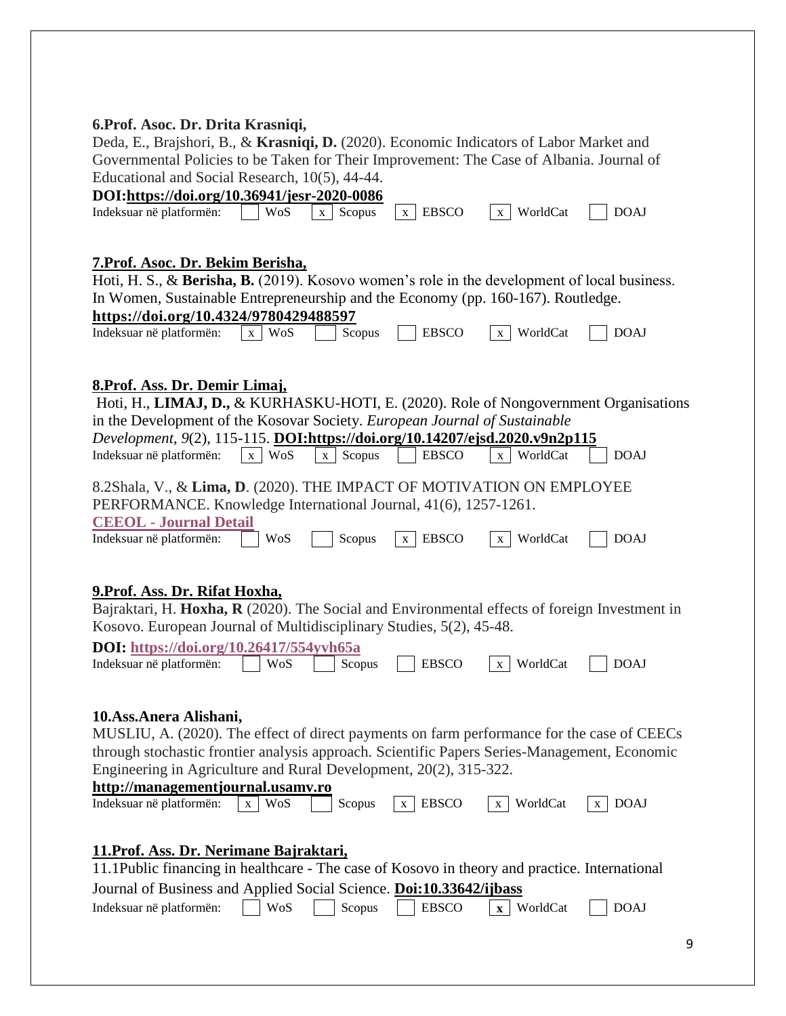### **6.Prof. Asoc. Dr. Drita Krasniqi,**

Deda, E., Brajshori, B., & **Krasniqi, D.** (2020). Economic Indicators of Labor Market and Governmental Policies to be Taken for Their Improvement: The Case of Albania. Journal of Educational and Social Research, 10(5), 44-44.

| DOI:https://doi.org/10.36941/jesr-2020-0086                                                     |            | Equicational and Social Research, $10(3)$ , $44-44$ . |                   |                          |             |
|-------------------------------------------------------------------------------------------------|------------|-------------------------------------------------------|-------------------|--------------------------|-------------|
|                                                                                                 |            |                                                       |                   |                          |             |
| Indeksuar në platformën:                                                                        | WoS        | Scopus<br>$\mathbf{X}$                                | <b>EBSCO</b><br>X | WorldCat<br>X            | <b>DOAJ</b> |
|                                                                                                 |            |                                                       |                   |                          |             |
|                                                                                                 |            |                                                       |                   |                          |             |
| 7. Prof. Asoc. Dr. Bekim Berisha,                                                               |            |                                                       |                   |                          |             |
| Hoti, H. S., & Berisha, B. (2019). Kosovo women's role in the development of local business.    |            |                                                       |                   |                          |             |
| In Women, Sustainable Entrepreneurship and the Economy (pp. 160-167). Routledge.                |            |                                                       |                   |                          |             |
|                                                                                                 |            |                                                       |                   |                          |             |
| https://doi.org/10.4324/9780429488597                                                           |            |                                                       |                   |                          |             |
| Indeksuar në platformën:                                                                        | WoS<br>X   | Scopus                                                | <b>EBSCO</b>      | WorldCat<br>$\mathbf{X}$ | <b>DOAJ</b> |
|                                                                                                 |            |                                                       |                   |                          |             |
|                                                                                                 |            |                                                       |                   |                          |             |
| 8. Prof. Ass. Dr. Demir Limaj,                                                                  |            |                                                       |                   |                          |             |
| Hoti, H., LIMAJ, D., & KURHASKU-HOTI, E. (2020). Role of Nongovernment Organisations            |            |                                                       |                   |                          |             |
| in the Development of the Kosovar Society. European Journal of Sustainable                      |            |                                                       |                   |                          |             |
| Development, 9(2), 115-115. DOI:https://doi.org/10.14207/ejsd.2020.v9n2p115                     |            |                                                       |                   |                          |             |
| Indeksuar në platformën:                                                                        | x WoS      | Scopus<br>$\mathbf{x}$                                | <b>EBSCO</b>      | x WorldCat               | <b>DOAJ</b> |
|                                                                                                 |            |                                                       |                   |                          |             |
| 8.2Shala, V., & Lima, D. (2020). THE IMPACT OF MOTIVATION ON EMPLOYEE                           |            |                                                       |                   |                          |             |
|                                                                                                 |            |                                                       |                   |                          |             |
| PERFORMANCE. Knowledge International Journal, 41(6), 1257-1261.                                 |            |                                                       |                   |                          |             |
| <b>CEEOL - Journal Detail</b>                                                                   |            |                                                       |                   |                          |             |
| Indeksuar në platformën:                                                                        | WoS        | Scopus                                                | <b>EBSCO</b><br>X | WorldCat<br>X            | <b>DOAJ</b> |
|                                                                                                 |            |                                                       |                   |                          |             |
|                                                                                                 |            |                                                       |                   |                          |             |
|                                                                                                 |            |                                                       |                   |                          |             |
|                                                                                                 |            |                                                       |                   |                          |             |
| 9. Prof. Ass. Dr. Rifat Hoxha,                                                                  |            |                                                       |                   |                          |             |
| Bajraktari, H. Hoxha, R (2020). The Social and Environmental effects of foreign Investment in   |            |                                                       |                   |                          |             |
| Kosovo. European Journal of Multidisciplinary Studies, 5(2), 45-48.                             |            |                                                       |                   |                          |             |
| <b>DOI:</b> https://doi.org/10.26417/554yvh65a                                                  |            |                                                       |                   |                          |             |
| Indeksuar në platformën:                                                                        | WoS        | Scopus                                                | <b>EBSCO</b>      | WorldCat<br>$\mathbf{X}$ | <b>DOAJ</b> |
|                                                                                                 |            |                                                       |                   |                          |             |
|                                                                                                 |            |                                                       |                   |                          |             |
|                                                                                                 |            |                                                       |                   |                          |             |
| 10. Ass. Anera Alishani,                                                                        |            |                                                       |                   |                          |             |
| MUSLIU, A. (2020). The effect of direct payments on farm performance for the case of CEECs      |            |                                                       |                   |                          |             |
| through stochastic frontier analysis approach. Scientific Papers Series-Management, Economic    |            |                                                       |                   |                          |             |
| Engineering in Agriculture and Rural Development, 20(2), 315-322.                               |            |                                                       |                   |                          |             |
| http://managementjournal.usamv.ro                                                               |            |                                                       |                   |                          |             |
| Indeksuar në platformën:                                                                        | x WoS      | Scopus                                                | x EBSCO           | x WorldCat               | $x$ DOAJ    |
|                                                                                                 |            |                                                       |                   |                          |             |
|                                                                                                 |            |                                                       |                   |                          |             |
| 11. Prof. Ass. Dr. Nerimane Bajraktari,                                                         |            |                                                       |                   |                          |             |
| 11.1Public financing in healthcare - The case of Kosovo in theory and practice. International   |            |                                                       |                   |                          |             |
|                                                                                                 |            |                                                       |                   |                          |             |
| Journal of Business and Applied Social Science. Doi:10.33642/ijbass<br>Indeksuar në platformën: | <b>WoS</b> | Scopus                                                | <b>EBSCO</b>      | $\mathbf{x}$ WorldCat    | <b>DOAJ</b> |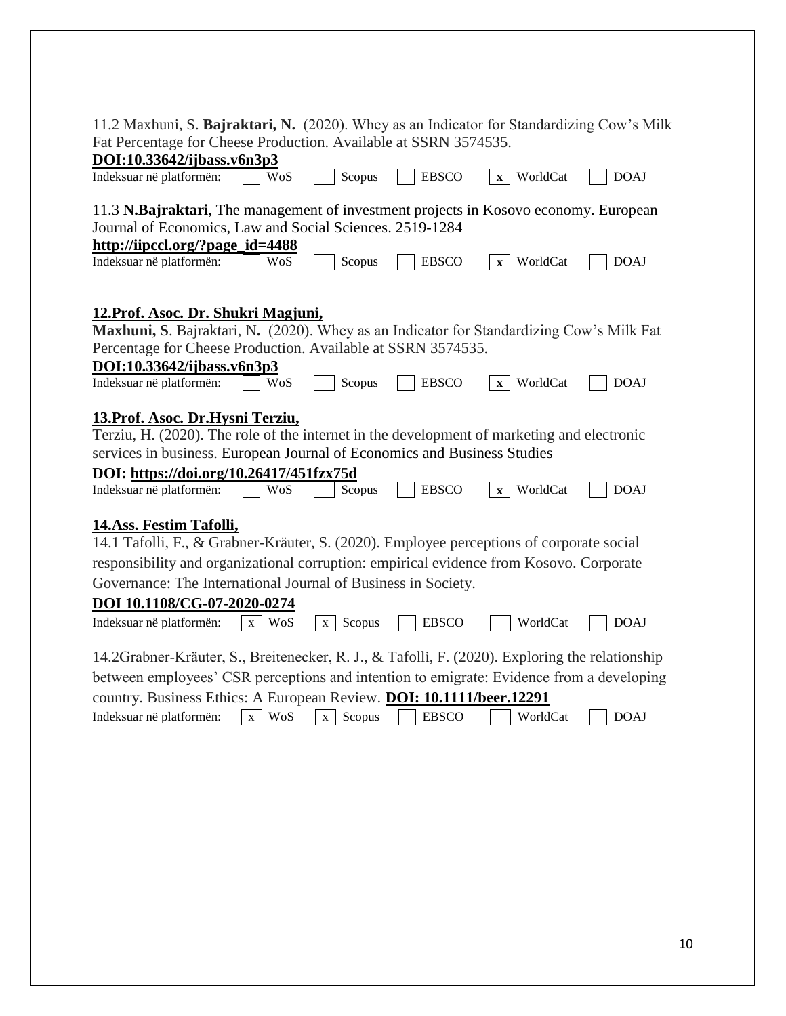| 11.2 Maxhuni, S. Bajraktari, N. (2020). Whey as an Indicator for Standardizing Cow's Milk                                                                                                                                                                                                                                                                                                                                                                                                                       |
|-----------------------------------------------------------------------------------------------------------------------------------------------------------------------------------------------------------------------------------------------------------------------------------------------------------------------------------------------------------------------------------------------------------------------------------------------------------------------------------------------------------------|
| Fat Percentage for Cheese Production. Available at SSRN 3574535.                                                                                                                                                                                                                                                                                                                                                                                                                                                |
| DOI:10.33642/ijbass.v6n3p3                                                                                                                                                                                                                                                                                                                                                                                                                                                                                      |
| Scopus<br><b>EBSCO</b><br>WorldCat<br><b>DOAJ</b><br>Indeksuar në platformën:<br>WoS<br>$\mathbf{x}$                                                                                                                                                                                                                                                                                                                                                                                                            |
| 11.3 N.Bajraktari, The management of investment projects in Kosovo economy. European<br>Journal of Economics, Law and Social Sciences. 2519-1284                                                                                                                                                                                                                                                                                                                                                                |
| http://iipccl.org/?page_id=4488                                                                                                                                                                                                                                                                                                                                                                                                                                                                                 |
| Indeksuar në platformën:<br>WoS<br>Scopus<br><b>EBSCO</b><br>WorldCat<br><b>DOAJ</b><br>$\mathbf{X}$                                                                                                                                                                                                                                                                                                                                                                                                            |
| 12. Prof. Asoc. Dr. Shukri Magjuni,<br>Maxhuni, S. Bajraktari, N. (2020). Whey as an Indicator for Standardizing Cow's Milk Fat<br>Percentage for Cheese Production. Available at SSRN 3574535.<br>DOI:10.33642/ijbass.v6n3p3                                                                                                                                                                                                                                                                                   |
| Indeksuar në platformën:<br>Scopus<br><b>EBSCO</b><br>WorldCat<br><b>DOAJ</b><br>WoS<br>$\mathbf{X}$                                                                                                                                                                                                                                                                                                                                                                                                            |
| 13. Prof. Asoc. Dr. Hysni Terziu,<br>Terziu, H. (2020). The role of the internet in the development of marketing and electronic<br>services in business. European Journal of Economics and Business Studies<br>DOI: https://doi.org/10.26417/451fzx75d<br><b>WoS</b><br>Scopus<br><b>EBSCO</b><br>WorldCat<br>Indeksuar në platformën:<br><b>DOAJ</b><br>$\mathbf{x}$                                                                                                                                           |
| 14.Ass. Festim Tafolli,<br>14.1 Tafolli, F., & Grabner-Kräuter, S. (2020). Employee perceptions of corporate social<br>responsibility and organizational corruption: empirical evidence from Kosovo. Corporate<br>Governance: The International Journal of Business in Society.<br>DOI 10.1108/CG-07-2020-0274<br>Indeksuar në platformën:<br>x WoS<br><b>EBSCO</b><br><b>DOAJ</b><br>Scopus<br>WorldCat<br>X<br>14.2Grabner-Kräuter, S., Breitenecker, R. J., & Tafolli, F. (2020). Exploring the relationship |
|                                                                                                                                                                                                                                                                                                                                                                                                                                                                                                                 |
| between employees' CSR perceptions and intention to emigrate: Evidence from a developing                                                                                                                                                                                                                                                                                                                                                                                                                        |
| country. Business Ethics: A European Review. DOI: 10.1111/beer.12291<br>WoS<br>Scopus<br><b>EBSCO</b><br>WorldCat<br>Indeksuar në platformën:<br><b>DOAJ</b><br>$\mathbf{X}$<br>$\mathbf{x}$                                                                                                                                                                                                                                                                                                                    |
|                                                                                                                                                                                                                                                                                                                                                                                                                                                                                                                 |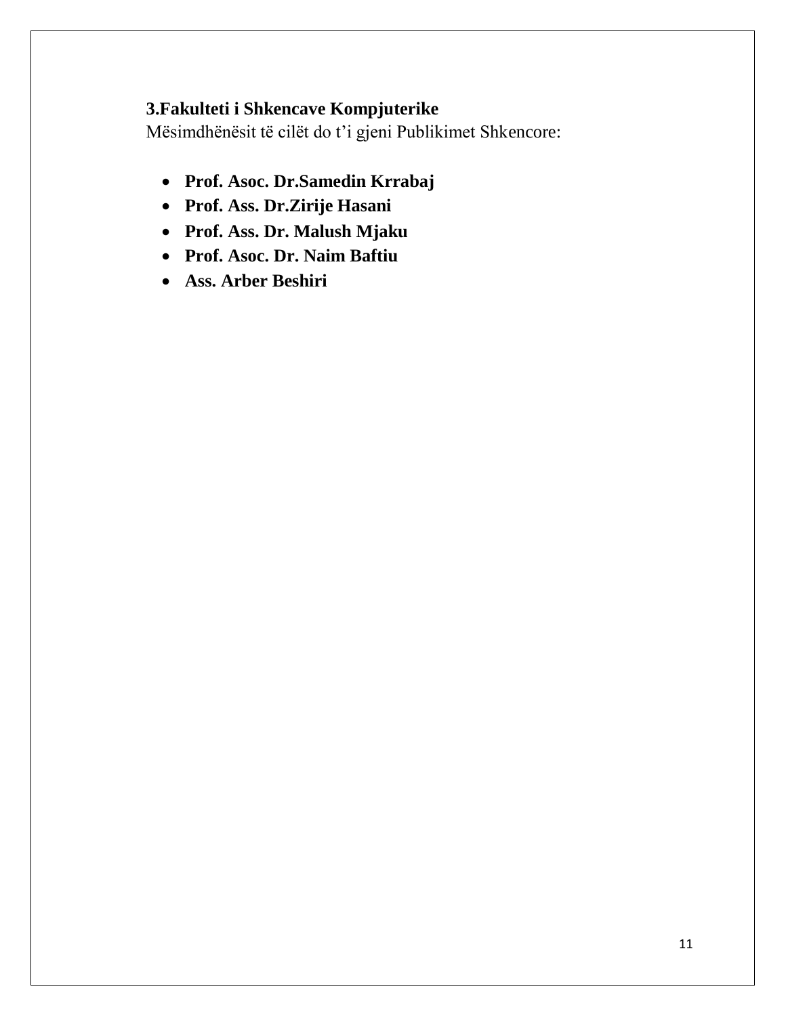# **3.Fakulteti i Shkencave Kompjuterike**

- **Prof. Asoc. Dr.Samedin Krrabaj**
- **Prof. Ass. Dr.Zirije Hasani**
- **Prof. Ass. Dr. Malush Mjaku**
- **Prof. Asoc. Dr. Naim Baftiu**
- **Ass. Arber Beshiri**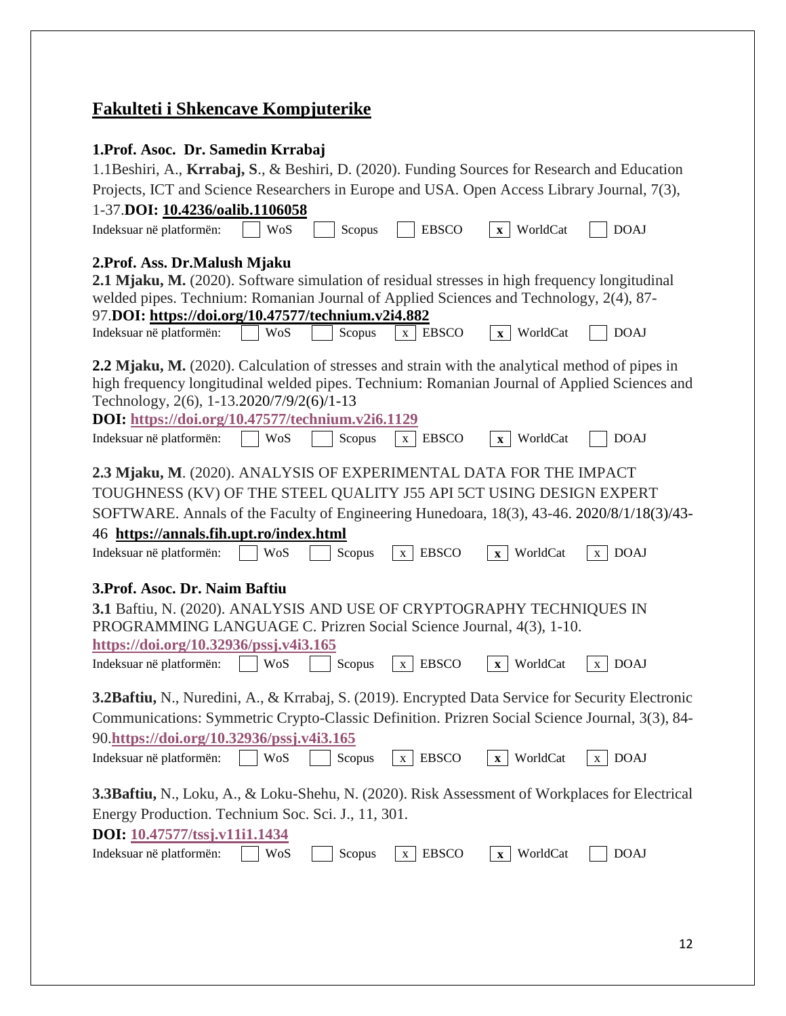# **Fakulteti i Shkencave Kompjuterike**

## **1.Prof. Asoc. Dr. Samedin Krrabaj**

| 1.1 Beshiri, A., Krrabaj, S., & Beshiri, D. (2020). Funding Sources for Research and Education<br>Projects, ICT and Science Researchers in Europe and USA. Open Access Library Journal, 7(3), |  |  |  |  |
|-----------------------------------------------------------------------------------------------------------------------------------------------------------------------------------------------|--|--|--|--|
| 1-37.DOI: 10.4236/oalib.1106058                                                                                                                                                               |  |  |  |  |
| <b>DOAJ</b><br>Indeksuar në platformën:<br>WoS<br>Scopus<br><b>EBSCO</b><br>WorldCat<br>$\mathbf{X}$                                                                                          |  |  |  |  |
|                                                                                                                                                                                               |  |  |  |  |
| 2. Prof. Ass. Dr. Malush Mjaku                                                                                                                                                                |  |  |  |  |
| 2.1 Mjaku, M. (2020). Software simulation of residual stresses in high frequency longitudinal                                                                                                 |  |  |  |  |
| welded pipes. Technium: Romanian Journal of Applied Sciences and Technology, 2(4), 87-                                                                                                        |  |  |  |  |
| 97.DOI: https://doi.org/10.47577/technium.v2i4.882                                                                                                                                            |  |  |  |  |
| Indeksuar në platformën:<br>WoS<br>$x$   EBSCO<br>WorldCat<br><b>DOAJ</b><br>Scopus<br>$\mathbf{X}$                                                                                           |  |  |  |  |
| 2.2 Mjaku, M. (2020). Calculation of stresses and strain with the analytical method of pipes in                                                                                               |  |  |  |  |
| high frequency longitudinal welded pipes. Technium: Romanian Journal of Applied Sciences and                                                                                                  |  |  |  |  |
| Technology, 2(6), 1-13.2020/7/9/2(6)/1-13                                                                                                                                                     |  |  |  |  |
| DOI: https://doi.org/10.47577/technium.v2i6.1129                                                                                                                                              |  |  |  |  |
| Indeksuar në platformën:<br><b>DOAJ</b><br><b>WoS</b><br>Scopus<br><b>EBSCO</b><br>WorldCat<br>$\mathbf{X}$<br>$\mathbf{X}$                                                                   |  |  |  |  |
|                                                                                                                                                                                               |  |  |  |  |
| 2.3 Mjaku, M. (2020). ANALYSIS OF EXPERIMENTAL DATA FOR THE IMPACT                                                                                                                            |  |  |  |  |
| TOUGHNESS (KV) OF THE STEEL QUALITY J55 API 5CT USING DESIGN EXPERT                                                                                                                           |  |  |  |  |
| SOFTWARE. Annals of the Faculty of Engineering Hunedoara, 18(3), 43-46. 2020/8/1/18(3)/43-                                                                                                    |  |  |  |  |
|                                                                                                                                                                                               |  |  |  |  |
|                                                                                                                                                                                               |  |  |  |  |
| 46 https://annals.fih.upt.ro/index.html                                                                                                                                                       |  |  |  |  |
| Indeksuar në platformën:<br><b>WoS</b><br><b>EBSCO</b><br>WorldCat<br><b>DOAJ</b><br>Scopus<br>X<br>$\mathbf{X}$<br>$\mathbf{X}$                                                              |  |  |  |  |
| 3. Prof. Asoc. Dr. Naim Baftiu                                                                                                                                                                |  |  |  |  |
|                                                                                                                                                                                               |  |  |  |  |
| 3.1 Baftiu, N. (2020). ANALYSIS AND USE OF CRYPTOGRAPHY TECHNIQUES IN                                                                                                                         |  |  |  |  |
| PROGRAMMING LANGUAGE C. Prizren Social Science Journal, 4(3), 1-10.<br>https://doi.org/10.32936/pssj.v4i3.165                                                                                 |  |  |  |  |
| <b>WoS</b><br>Scopus<br><b>EBSCO</b><br>WorldCat<br><b>DOAJ</b><br>Indeksuar në platformën:<br>$\mathbf{X}$<br>$\mathbf{X}$<br>$\mathbf{X}$                                                   |  |  |  |  |
|                                                                                                                                                                                               |  |  |  |  |
| <b>3.2Baftiu, N., Nuredini, A., &amp; Krrabaj, S. (2019). Encrypted Data Service for Security Electronic</b>                                                                                  |  |  |  |  |
| Communications: Symmetric Crypto-Classic Definition. Prizren Social Science Journal, 3(3), 84-                                                                                                |  |  |  |  |
| 90.https://doi.org/10.32936/pssj.v4i3.165                                                                                                                                                     |  |  |  |  |
| Indeksuar në platformën:<br>WoS<br>Scopus<br><b>EBSCO</b><br>WorldCat<br><b>DOAJ</b><br>X<br>X<br>$\mathbf{x}$                                                                                |  |  |  |  |
|                                                                                                                                                                                               |  |  |  |  |
| <b>3.3Baftiu,</b> N., Loku, A., & Loku-Shehu, N. (2020). Risk Assessment of Workplaces for Electrical                                                                                         |  |  |  |  |
| Energy Production. Technium Soc. Sci. J., 11, 301.                                                                                                                                            |  |  |  |  |
| DOI: 10.47577/tssj.v11i1.1434                                                                                                                                                                 |  |  |  |  |
| Indeksuar në platformën:<br>WorldCat<br><b>EBSCO</b><br><b>DOAJ</b><br>WoS<br>Scopus<br>X<br>$\mathbf{X}$                                                                                     |  |  |  |  |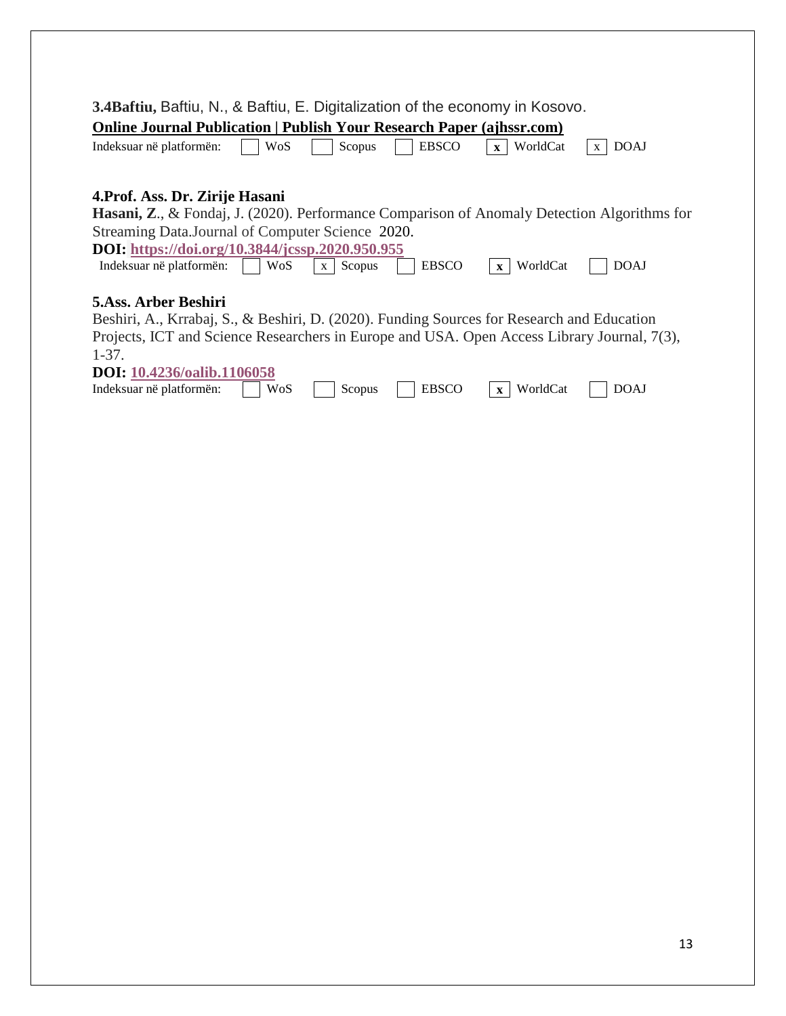| 3.4 Baftiu, Baftiu, N., & Baftiu, E. Digitalization of the economy in Kosovo.                                        |
|----------------------------------------------------------------------------------------------------------------------|
|                                                                                                                      |
| <b>Online Journal Publication   Publish Your Research Paper (ajhssr.com)</b>                                         |
| WoS<br><b>EBSCO</b><br><b>DOAJ</b><br>WorldCat<br>Indeksuar në platformën:<br>Scopus<br>$\mathbf{X}$<br>$\mathbf{x}$ |
| 4. Prof. Ass. Dr. Zirije Hasani                                                                                      |
|                                                                                                                      |
| <b>Hasani, Z., &amp; Fondaj, J. (2020). Performance Comparison of Anomaly Detection Algorithms for</b>               |
| Streaming Data. Journal of Computer Science 2020.                                                                    |
| DOI: https://doi.org/10.3844/jcssp.2020.950.955                                                                      |
| <b>EBSCO</b><br>WorldCat<br><b>DOAJ</b><br>WoS<br>Scopus<br>$\mathbf{X}$<br>$\mathbf{x}$                             |
| Indeksuar në platformën:                                                                                             |
|                                                                                                                      |
| 5.Ass. Arber Beshiri                                                                                                 |
| Beshiri, A., Krrabaj, S., & Beshiri, D. (2020). Funding Sources for Research and Education                           |
| Projects, ICT and Science Researchers in Europe and USA. Open Access Library Journal, 7(3),                          |
| $1-37.$                                                                                                              |
| <b>DOI:</b> 10.4236/oalib.1106058                                                                                    |
| <b>EBSCO</b><br>WorldCat<br><b>DOAJ</b><br>Indeksuar në platformën:<br>WoS<br>Scopus<br>$\mathbf{X}$                 |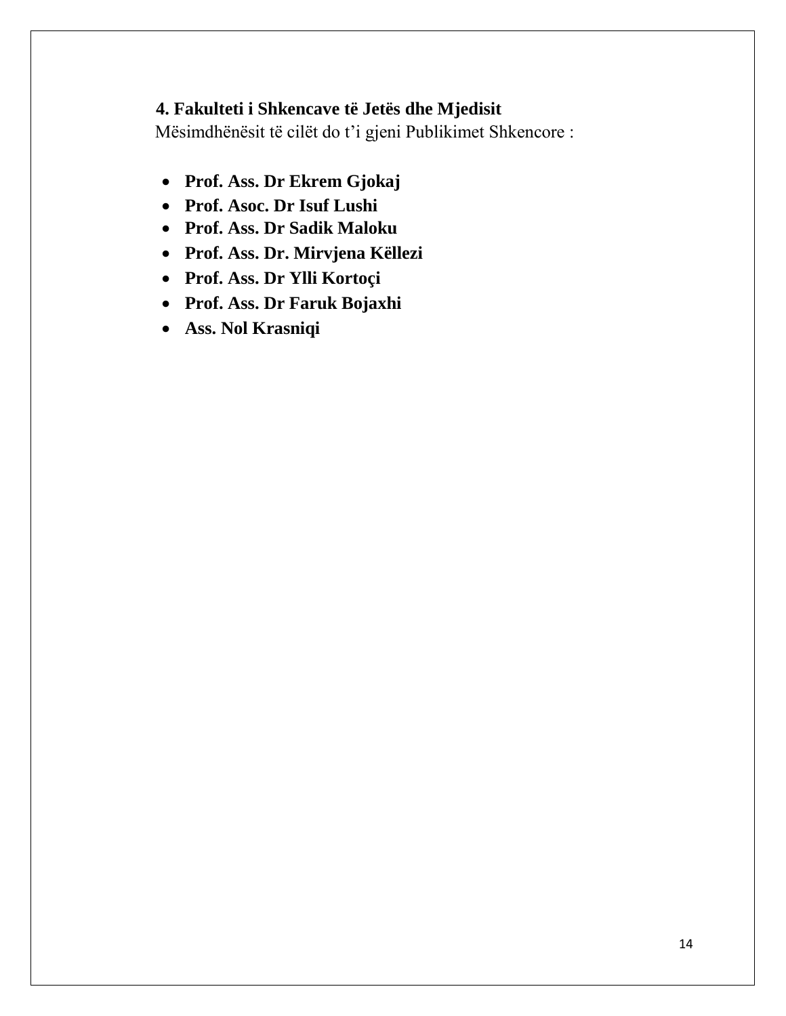# **4. Fakulteti i Shkencave të Jetës dhe Mjedisit**

- **Prof. Ass. Dr Ekrem Gjokaj**
- **Prof. Asoc. Dr Isuf Lushi**
- **Prof. Ass. Dr Sadik Maloku**
- **Prof. Ass. Dr. Mirvjena Këllezi**
- **Prof. Ass. Dr Ylli Kortoçi**
- **Prof. Ass. Dr Faruk Bojaxhi**
- **Ass. Nol Krasniqi**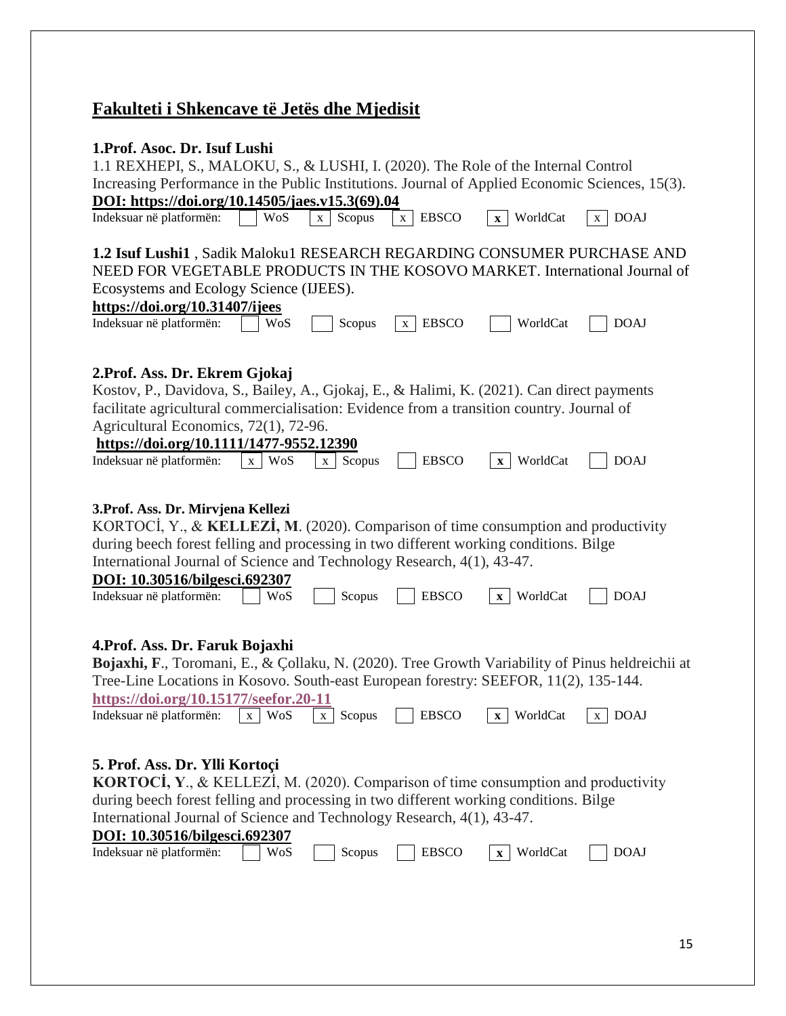# **Fakulteti i Shkencave të Jetës dhe Mjedisit**

| 1. Prof. Asoc. Dr. Isuf Lushi<br>1.1 REXHEPI, S., MALOKU, S., & LUSHI, I. (2020). The Role of the Internal Control<br>Increasing Performance in the Public Institutions. Journal of Applied Economic Sciences, 15(3).<br>DOI: https://doi.org/10.14505/jaes.v15.3(69).04                                                                                 |          |                        |                              |                          |                  |
|----------------------------------------------------------------------------------------------------------------------------------------------------------------------------------------------------------------------------------------------------------------------------------------------------------------------------------------------------------|----------|------------------------|------------------------------|--------------------------|------------------|
| Indeksuar në platformën:                                                                                                                                                                                                                                                                                                                                 | WoS      | Scopus<br>$\mathbf{X}$ | <b>EBSCO</b><br>$\mathbf{x}$ | x WorldCat               | <b>DOAJ</b><br>X |
| 1.2 Isuf Lushi1, Sadik Maloku1 RESEARCH REGARDING CONSUMER PURCHASE AND<br>NEED FOR VEGETABLE PRODUCTS IN THE KOSOVO MARKET. International Journal of<br>Ecosystems and Ecology Science (IJEES).<br>https://doi.org/10.31407/ijees<br>Indeksuar në platformën:                                                                                           | WoS      | Scopus                 | <b>EBSCO</b><br>$\mathbf{X}$ | WorldCat                 | <b>DOAJ</b>      |
| 2. Prof. Ass. Dr. Ekrem Gjokaj<br>Kostov, P., Davidova, S., Bailey, A., Gjokaj, E., & Halimi, K. (2021). Can direct payments<br>facilitate agricultural commercialisation: Evidence from a transition country. Journal of<br>Agricultural Economics, 72(1), 72-96.<br>https://doi.org/10.1111/1477-9552.12390<br>Indeksuar në platformën:                | x WoS    | Scopus<br>X            | <b>EBSCO</b>                 | WorldCat<br>$\mathbf{X}$ | <b>DOAJ</b>      |
| 3. Prof. Ass. Dr. Mirvjena Kellezi<br>KORTOCİ, Y., & KELLEZİ, M. (2020). Comparison of time consumption and productivity<br>during beech forest felling and processing in two different working conditions. Bilge<br>International Journal of Science and Technology Research, 4(1), 43-47.<br>DOI: 10.30516/bilgesci.692307<br>Indeksuar në platformën: | WoS      | Scopus                 | <b>EBSCO</b>                 | WorldCat<br>$\mathbf{X}$ | <b>DOAJ</b>      |
| 4. Prof. Ass. Dr. Faruk Bojaxhi<br>Bojaxhi, F., Toromani, E., & Çollaku, N. (2020). Tree Growth Variability of Pinus heldreichii at<br>Tree-Line Locations in Kosovo. South-east European forestry: SEEFOR, 11(2), 135-144.<br>https://doi.org/10.15177/seefor.20-11<br>Indeksuar në platformën:                                                         | WoS<br>X | Scopus<br>$\mathbf{X}$ | <b>EBSCO</b>                 | WorldCat<br>$\mathbf{X}$ | <b>DOAJ</b><br>X |
| 5. Prof. Ass. Dr. Ylli Kortoçi<br>KORTOCİ, Y., & KELLEZİ, M. (2020). Comparison of time consumption and productivity<br>during beech forest felling and processing in two different working conditions. Bilge<br>International Journal of Science and Technology Research, 4(1), 43-47.<br>DOI: 10.30516/bilgesci.692307<br>Indeksuar në platformën:     | WoS      | Scopus                 | <b>EBSCO</b>                 | WorldCat<br>$\mathbf{X}$ | <b>DOAJ</b>      |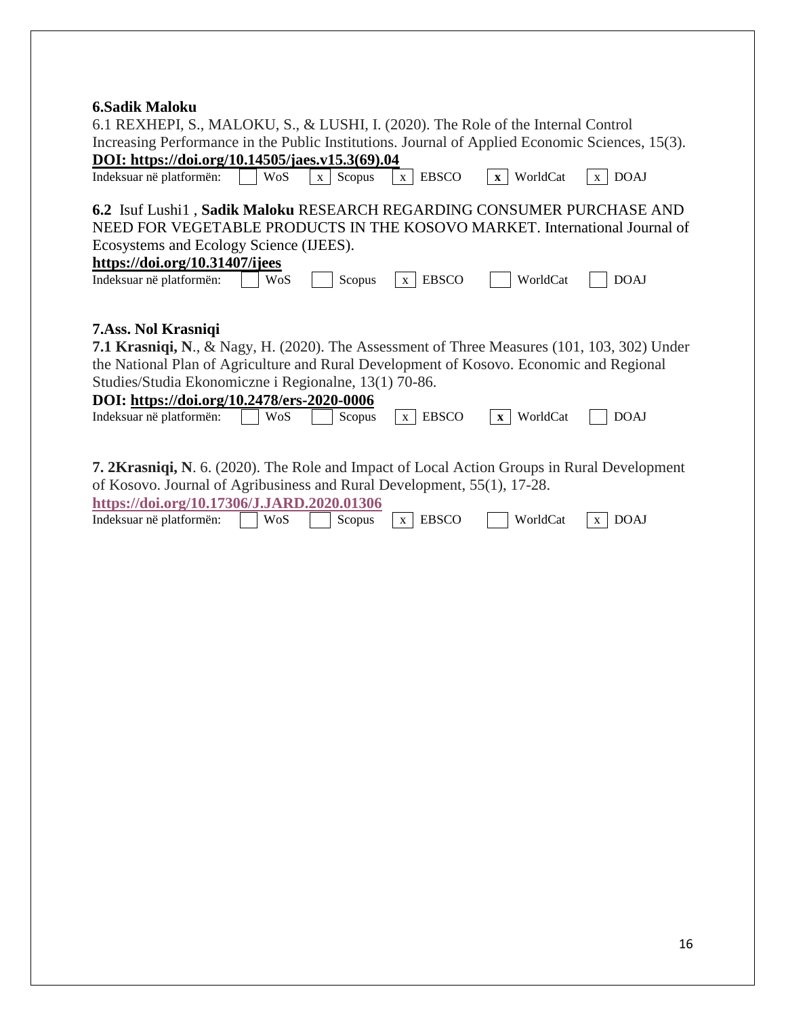#### **6.Sadik Maloku**

| vojaum Ranviru                                                                                                                                                                                                                                                                                                                         |                        |                              |                          |                             |  |
|----------------------------------------------------------------------------------------------------------------------------------------------------------------------------------------------------------------------------------------------------------------------------------------------------------------------------------------|------------------------|------------------------------|--------------------------|-----------------------------|--|
| 6.1 REXHEPI, S., MALOKU, S., & LUSHI, I. (2020). The Role of the Internal Control<br>Increasing Performance in the Public Institutions. Journal of Applied Economic Sciences, 15(3).                                                                                                                                                   |                        |                              |                          |                             |  |
| DOI: https://doi.org/10.14505/jaes.v15.3(69).04                                                                                                                                                                                                                                                                                        |                        |                              |                          |                             |  |
| Indeksuar në platformën:<br>WoS                                                                                                                                                                                                                                                                                                        | Scopus<br>$\mathbf{X}$ | <b>EBSCO</b><br>X            | WorldCat<br>$\mathbf{x}$ | <b>DOAJ</b><br>$\mathbf{X}$ |  |
| 6.2 Isuf Lushi1, Sadik Maloku RESEARCH REGARDING CONSUMER PURCHASE AND<br>NEED FOR VEGETABLE PRODUCTS IN THE KOSOVO MARKET. International Journal of<br>Ecosystems and Ecology Science (IJEES).<br>https://doi.org/10.31407/ijees                                                                                                      |                        |                              |                          |                             |  |
| Indeksuar në platformën:                                                                                                                                                                                                                                                                                                               | <b>WoS</b><br>Scopus   | <b>EBSCO</b><br>$\mathbf{X}$ | WorldCat                 | <b>DOAJ</b>                 |  |
| <b>7.Ass. Nol Krasniqi</b><br><b>7.1 Krasniqi, N., &amp; Nagy, H. (2020). The Assessment of Three Measures (101, 103, 302) Under</b><br>the National Plan of Agriculture and Rural Development of Kosovo. Economic and Regional<br>Studies/Studia Ekonomiczne i Regionalne, 13(1) 70-86.<br>DOI: https://doi.org/10.2478/ers-2020-0006 |                        |                              |                          |                             |  |
| Indeksuar në platformën:                                                                                                                                                                                                                                                                                                               | WoS<br>Scopus          | <b>EBSCO</b><br>$\mathbf{X}$ | WorldCat<br>$\mathbf{X}$ | <b>DOAJ</b>                 |  |
| <b>7. 2Krasniqi, N.</b> 6. (2020). The Role and Impact of Local Action Groups in Rural Development<br>of Kosovo. Journal of Agribusiness and Rural Development, 55(1), 17-28.<br>https://doi.org/10.17306/J.JARD.2020.01306                                                                                                            |                        |                              |                          |                             |  |
| Indeksuar në platformën:<br><b>WoS</b>                                                                                                                                                                                                                                                                                                 | Scopus                 | <b>EBSCO</b><br>$\mathbf{X}$ | WorldCat                 | <b>DOAJ</b><br>$\mathbf{X}$ |  |
|                                                                                                                                                                                                                                                                                                                                        |                        |                              |                          |                             |  |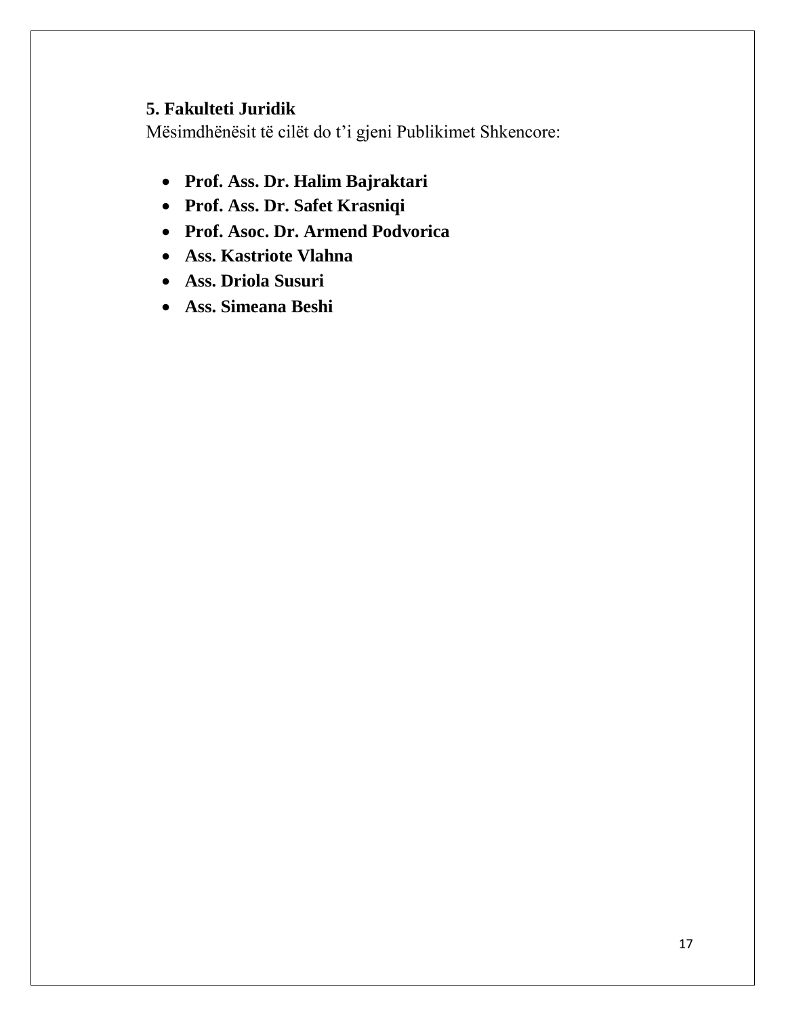# **5. Fakulteti Juridik**

- **Prof. Ass. Dr. Halim Bajraktari**
- **Prof. Ass. Dr. Safet Krasniqi**
- **Prof. Asoc. Dr. Armend Podvorica**
- **Ass. Kastriote Vlahna**
- **Ass. Driola Susuri**
- **Ass. Simeana Beshi**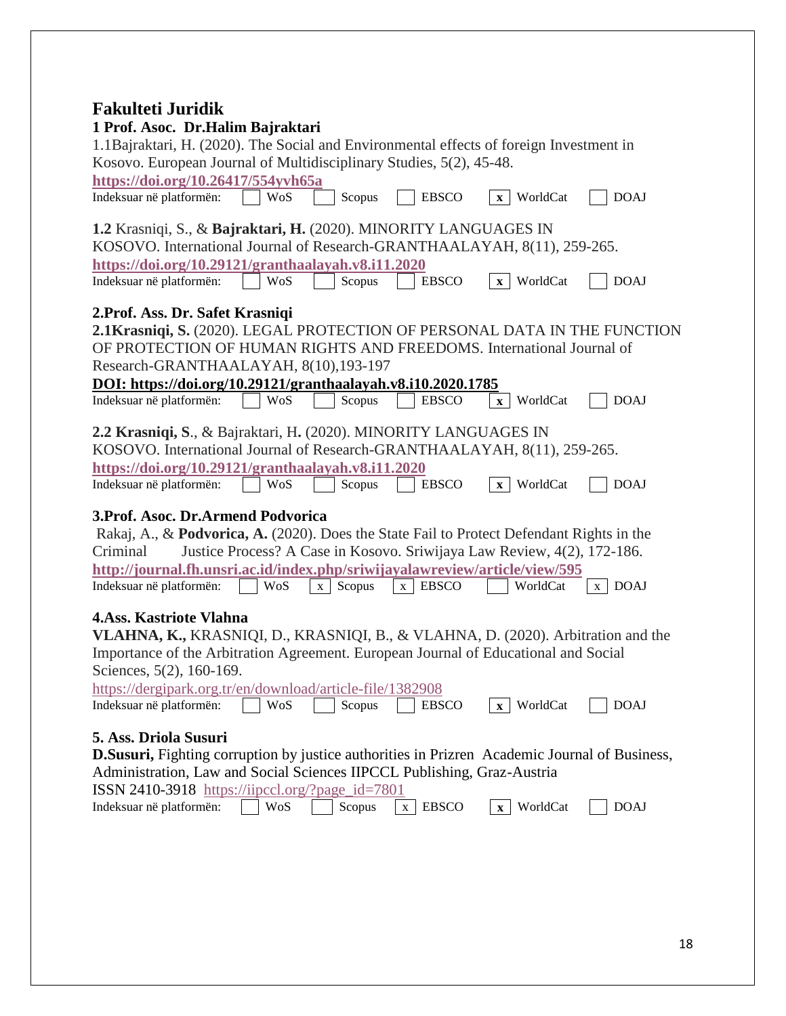## **Fakulteti Juridik**

| 1 Prof. Asoc. Dr.Halim Bajraktari                                                                                                                                 |
|-------------------------------------------------------------------------------------------------------------------------------------------------------------------|
| 1.1 Bajraktari, H. (2020). The Social and Environmental effects of foreign Investment in                                                                          |
| Kosovo. European Journal of Multidisciplinary Studies, 5(2), 45-48.                                                                                               |
| https://doi.org/10.26417/554yvh65a                                                                                                                                |
| <b>EBSCO</b><br><b>DOAJ</b><br>Indeksuar në platformën:<br>WoS<br>Scopus<br>$x$ WorldCat                                                                          |
| 1.2 Krasniqi, S., & Bajraktari, H. (2020). MINORITY LANGUAGES IN                                                                                                  |
| KOSOVO. International Journal of Research-GRANTHAALAYAH, 8(11), 259-265.                                                                                          |
| https://doi.org/10.29121/granthaalayah.v8.i11.2020<br>Indeksuar në platformën:<br><b>WoS</b><br>Scopus<br><b>EBSCO</b><br>WorldCat<br><b>DOAJ</b><br>$\mathbf{x}$ |
| 2. Prof. Ass. Dr. Safet Krasniqi                                                                                                                                  |
| 2.1Krasniqi, S. (2020). LEGAL PROTECTION OF PERSONAL DATA IN THE FUNCTION                                                                                         |
| OF PROTECTION OF HUMAN RIGHTS AND FREEDOMS. International Journal of                                                                                              |
| Research-GRANTHAALAYAH, 8(10), 193-197                                                                                                                            |
| DOI: https://doi.org/10.29121/granthaalayah.v8.i10.2020.1785                                                                                                      |
| Indeksuar në platformën:<br>WoS<br><b>EBSCO</b><br>x WorldCat<br><b>DOAJ</b><br>Scopus                                                                            |
|                                                                                                                                                                   |
| 2.2 Krasniqi, S., & Bajraktari, H. (2020). MINORITY LANGUAGES IN                                                                                                  |
| KOSOVO. International Journal of Research-GRANTHAALAYAH, 8(11), 259-265.                                                                                          |
| https://doi.org/10.29121/granthaalayah.v8.i11.2020                                                                                                                |
| <b>EBSCO</b><br>x WorldCat<br><b>DOAJ</b><br>Indeksuar në platformën:<br>Scopus<br>WoS                                                                            |
| 3. Prof. Asoc. Dr. Armend Podvorica                                                                                                                               |
| Rakaj, A., & Podvorica, A. (2020). Does the State Fail to Protect Defendant Rights in the                                                                         |
| Justice Process? A Case in Kosovo. Sriwijaya Law Review, 4(2), 172-186.<br>Criminal                                                                               |
| http://journal.fh.unsri.ac.id/index.php/sriwijayalawreview/article/view/595                                                                                       |
| Indeksuar në platformën:<br>WoS<br>$x$ EBSCO<br>WorldCat<br><b>DOAJ</b><br>Scopus<br>$\mathbf X$<br>X                                                             |
|                                                                                                                                                                   |
| 4. Ass. Kastriote Vlahna                                                                                                                                          |
| VLAHNA, K., KRASNIQI, D., KRASNIQI, B., & VLAHNA, D. (2020). Arbitration and the                                                                                  |
| Importance of the Arbitration Agreement. European Journal of Educational and Social                                                                               |
| Sciences, 5(2), 160-169.                                                                                                                                          |
| https://dergipark.org.tr/en/download/article-file/1382908                                                                                                         |
| x WorldCat<br>Indeksuar në platformën:<br>WoS<br>Scopus<br><b>EBSCO</b><br><b>DOAJ</b>                                                                            |
| 5. Ass. Driola Susuri                                                                                                                                             |
| <b>D.Susuri,</b> Fighting corruption by justice authorities in Prizren Academic Journal of Business,                                                              |
| Administration, Law and Social Sciences IIPCCL Publishing, Graz-Austria                                                                                           |
| ISSN 2410-3918 https://iipccl.org/?page_id=7801                                                                                                                   |
| Indeksuar në platformën:<br><b>EBSCO</b><br><b>DOAJ</b><br>WoS<br>Scopus<br>x WorldCat<br>X                                                                       |
|                                                                                                                                                                   |
|                                                                                                                                                                   |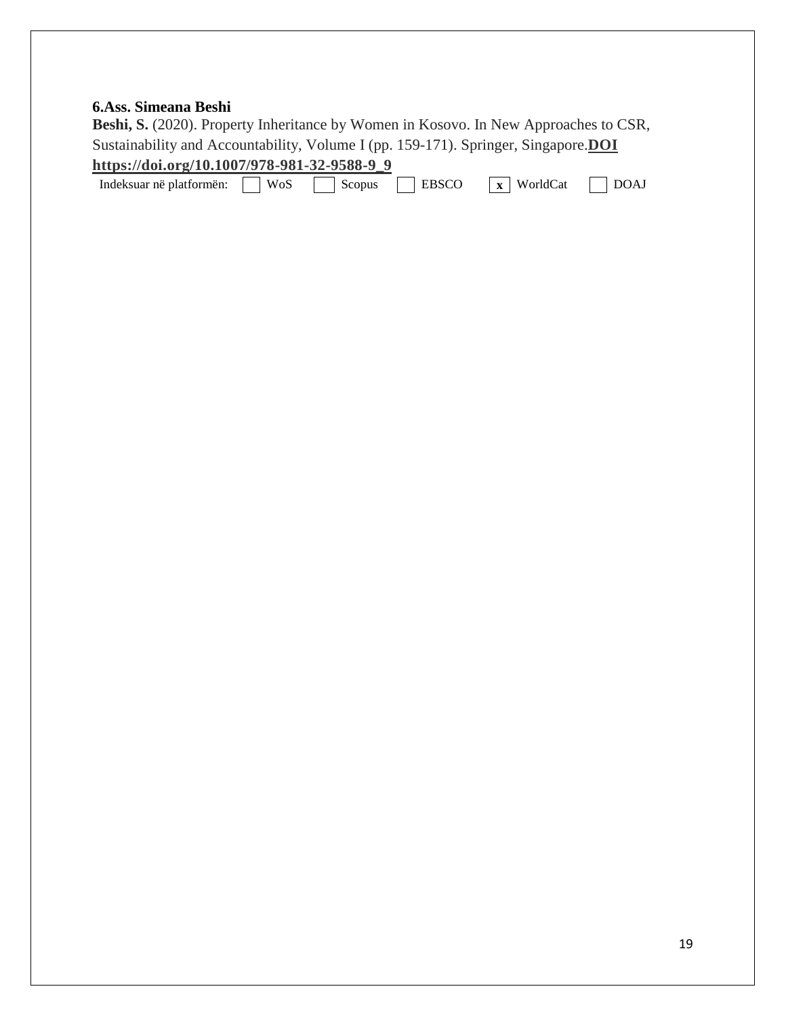### **6.Ass. Simeana Beshi**

**Beshi, S.** (2020). Property Inheritance by Women in Kosovo. In New Approaches to CSR, Sustainability and Accountability, Volume I (pp. 159-171). Springer, Singapore.**DOI https://doi.org/10.1007/978-981-32-9588-9\_9**

| Indeksuar në platformën: | $W_0$ s<br>™ U⊾ | -- | <b>ERSCC</b> | $\mathbf{v}$<br>. v<br>Worldt.<br>`at<br>A | DC<br>W |
|--------------------------|-----------------|----|--------------|--------------------------------------------|---------|
|--------------------------|-----------------|----|--------------|--------------------------------------------|---------|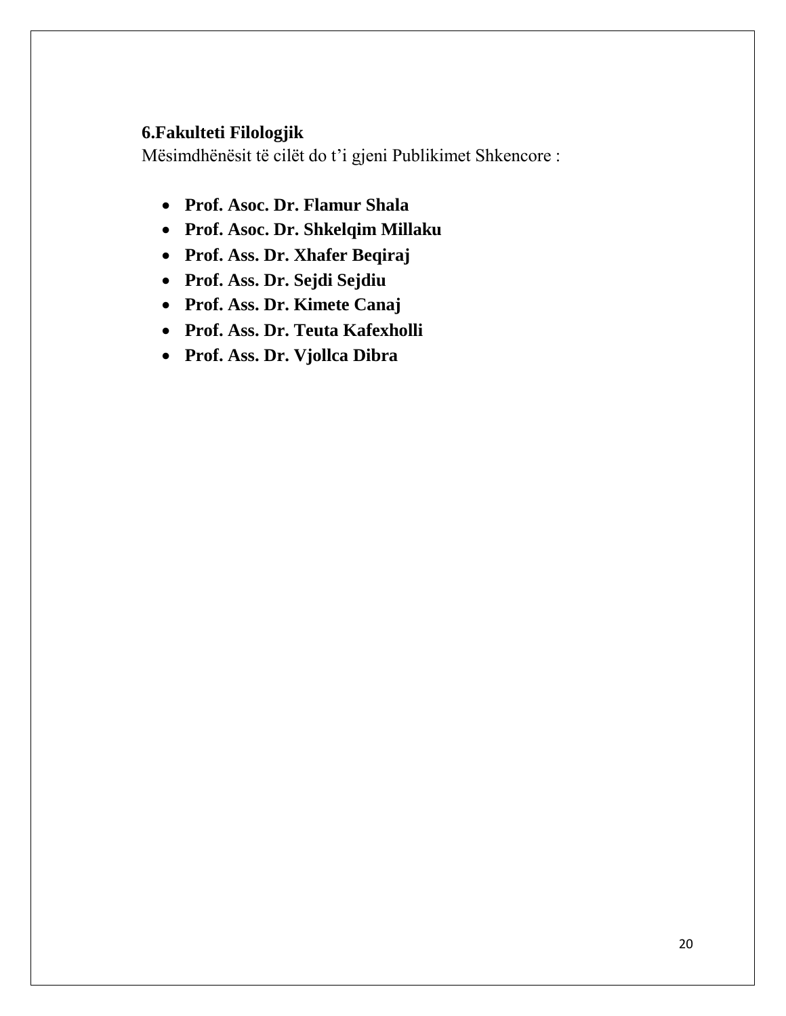## **6.Fakulteti Filologjik**

- **Prof. Asoc. Dr. Flamur Shala**
- **Prof. Asoc. Dr. Shkelqim Millaku**
- **Prof. Ass. Dr. Xhafer Beqiraj**
- **Prof. Ass. Dr. Sejdi Sejdiu**
- **Prof. Ass. Dr. Kimete Canaj**
- **Prof. Ass. Dr. Teuta Kafexholli**
- **Prof. Ass. Dr. Vjollca Dibra**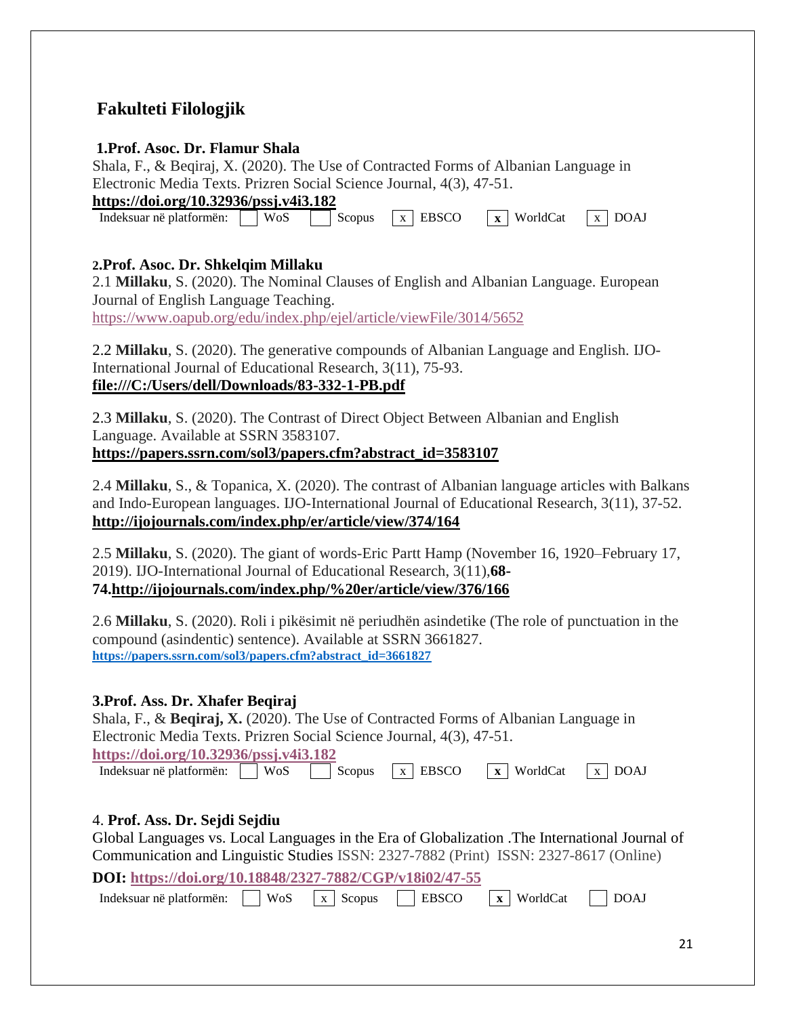# **Fakulteti Filologjik**

#### **1.Prof. Asoc. Dr. Flamur Shala**

Shala, F., & Beqiraj, X. (2020). The Use of Contracted Forms of Albanian Language in Electronic Media Texts. Prizren Social Science Journal, 4(3), 47-51.

**<https://doi.org/10.32936/pssj.v4i3.182>**

Indeksuar në platformën: WoS Scopus x EBSCO x WorldCat x DOAJ

### **2.Prof. Asoc. Dr. Shkelqim Millaku**

2.1 **Millaku**, S. (2020). The Nominal Clauses of English and Albanian Language. European Journal of English Language Teaching. <https://www.oapub.org/edu/index.php/ejel/article/viewFile/3014/5652>

2.2 **Millaku**, S. (2020). The generative compounds of Albanian Language and English. IJO-International Journal of Educational Research, 3(11), 75-93. **<file:///C:/Users/dell/Downloads/83-332-1-PB.pdf>**

2.3 **Millaku**, S. (2020). The Contrast of Direct Object Between Albanian and English Language. Available at SSRN 3583107. **[https://papers.ssrn.com/sol3/papers.cfm?abstract\\_id=3583107](https://papers.ssrn.com/sol3/papers.cfm?abstract_id=3583107)**

2.4 **Millaku**, S., & Topanica, X. (2020). The contrast of Albanian language articles with Balkans and Indo-European languages. IJO-International Journal of Educational Research, 3(11), 37-52. **<http://ijojournals.com/index.php/er/article/view/374/164>**

2.5 **Millaku**, S. (2020). The giant of words-Eric Partt Hamp (November 16, 1920–February 17, 2019). IJO-International Journal of Educational Research, 3(11),**68- 74[.http://ijojournals.com/index.php/%20er/article/view/376/166](http://ijojournals.com/index.php/%20er/article/view/376/166)**

2.6 **Millaku**, S. (2020). Roli i pikësimit në periudhën asindetike (The role of punctuation in the compound (asindentic) sentence). Available at SSRN 3661827. **[https://papers.ssrn.com/sol3/papers.cfm?abstract\\_id=3661827](https://papers.ssrn.com/sol3/papers.cfm?abstract_id=3661827)**

## **3.Prof. Ass. Dr. Xhafer Beqiraj**

Shala, F., & **Beqiraj, X.** (2020). The Use of Contracted Forms of Albanian Language in Electronic Media Texts. Prizren Social Science Journal, 4(3), 47-51. **<https://doi.org/10.32936/pssj.v4i3.182>**

Indeksuar në platformën: WoS Scopus x EBSCO x WorldCat x DOAJ

## 4. **Prof. Ass. Dr. Sejdi Sejdiu**

Global Languages vs. Local Languages in the Era of Globalization [.The International Journal of](https://cgscholar.com/bookstore/cgrn/228/230)  [Communication and Linguistic Studies](https://cgscholar.com/bookstore/cgrn/228/230) ISSN: 2327-7882 (Print) ISSN: 2327-8617 (Online)

**DOI: <https://doi.org/10.18848/2327-7882/CGP/v18i02/47-55>**

Indeksuar në platformën: **WOS** x Scopus **EBSCO** x WorldCat DOAJ